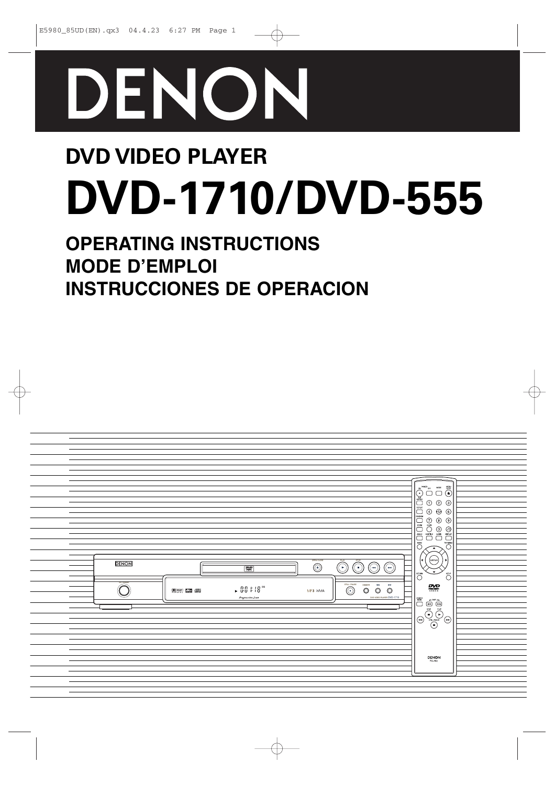

# **DVD VIDEO PLAYER DVD-1710/DVD-555**

## **OPERATING INSTRUCTIONS MODE D'EMPLOI INSTRUCCIONES DE OPERACION**

| - | <b>DENON</b> | <b>DOWN 530 000</b> | $\boxed{\frac{\mathbb{Z}^{\mathcal{D}}}{2}}$<br>$\sim 0.0\div 18$ $^{\rm m}$<br>Progressive Scan | $\overline{\bigodot}$<br>MP3 WMA | $\overline{\widehat{C}}$<br>Õ<br>⊙<br>$\bigcirc$<br>DMMER<br>$\bullet\bullet$<br>$\circledcirc$<br>$\circledcirc$ | ⊙<br>×<br>$\circledcirc$<br>DVD VIDEO PLAYER DVD-1710 | $\equiv$<br>$\frac{\mathop{\coprod\prod\limits_{i=1}^{n}}\mathop{\coprod\limits_{i=1}^{n}}\mathop{\coprod\limits_{i=1}^{n}}\mathop{\coprod\limits_{i=1}^{n}}\mathop{\coprod\limits_{i=1}^{n}}\mathop{\coprod\limits_{i=1}^{n}}\mathop{\coprod\limits_{i=1}^{n}}\mathop{\coprod\limits_{i=1}^{n}}\mathop{\coprod\limits_{i=1}^{n}}$<br>$\begin{picture}(45,10) \put(0,0){\line(1,0){10}} \put(15,0){\line(1,0){10}} \put(15,0){\line(1,0){10}} \put(15,0){\line(1,0){10}} \put(15,0){\line(1,0){10}} \put(15,0){\line(1,0){10}} \put(15,0){\line(1,0){10}} \put(15,0){\line(1,0){10}} \put(15,0){\line(1,0){10}} \put(15,0){\line(1,0){10}} \put(15,0){\line(1,0){10}} \put(15,0){\line(1$<br>$\circledcirc$<br>$^{\circledR}$<br>$\Theta$ $\odot$<br>r<br>(ENTER)<br>٠<br>$\mathbf{v}$<br><b>CON</b><br>$\bigcirc^{\mathrm{smp}}$<br>₩<br>$\begin{picture}(120,110) \put(0,0){\line(1,0){155}} \put(15,0){\line(1,0){155}} \put(15,0){\line(1,0){155}} \put(15,0){\line(1,0){155}} \put(15,0){\line(1,0){155}} \put(15,0){\line(1,0){155}} \put(15,0){\line(1,0){155}} \put(15,0){\line(1,0){155}} \put(15,0){\line(1,0){155}} \put(15,0){\line(1,0){155}} \put(15,0){\line(1,0){155$<br>$\mathsf{DENON}\xspace_{\mathsf{BC}\hbox{-}902}$ |  |
|---|--------------|---------------------|--------------------------------------------------------------------------------------------------|----------------------------------|-------------------------------------------------------------------------------------------------------------------|-------------------------------------------------------|-------------------------------------------------------------------------------------------------------------------------------------------------------------------------------------------------------------------------------------------------------------------------------------------------------------------------------------------------------------------------------------------------------------------------------------------------------------------------------------------------------------------------------------------------------------------------------------------------------------------------------------------------------------------------------------------------------------------------------------------------------------------------------------------------------------------------------------------------------------------------------------------------------------------------------------------------------------------------------------------------------------------------------------------------------------------------------------------------------------------------------------------------------------------------------------------------------------------------------------------|--|
|   |              |                     |                                                                                                  |                                  |                                                                                                                   |                                                       |                                                                                                                                                                                                                                                                                                                                                                                                                                                                                                                                                                                                                                                                                                                                                                                                                                                                                                                                                                                                                                                                                                                                                                                                                                           |  |

一个人的人,我们就是一个人的人,我们就是一个人的人,我们就是一个人的人,我们就是一个人的人,我们就是一个人的人,我们就是一个人的人,我们就是一个人的人,我们就是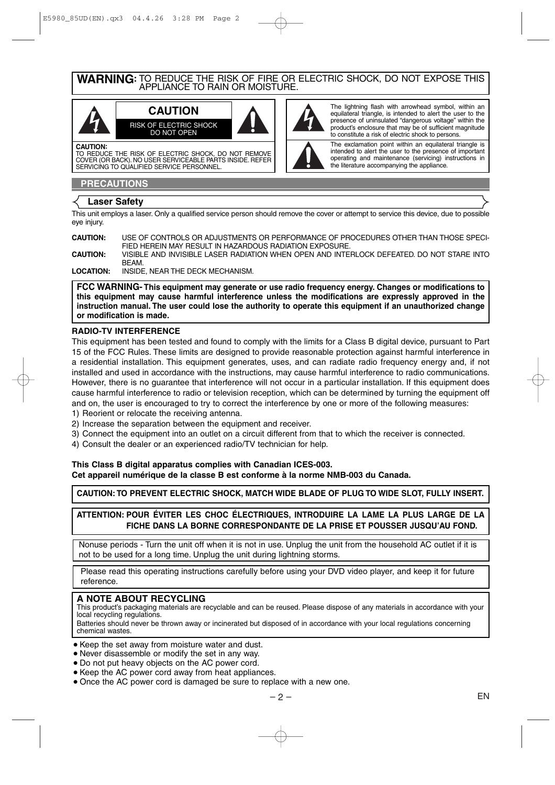**WARNING:** TO REDUCE THE RISK OF FIRE OR ELECTRIC SHOCK, DO NOT EXPOSE THIS APPLIANCE TO RAIN OR MOISTURE.

> The lightning flash with arrowhead symbol, within an equilateral triangle, is intended to alert the user to the presence of uninsulated "dangerous voltage" within the product's enclosure that may be of sufficient magnitude to constitute a risk of electric shock to persons. The exclamation point within an equilateral triangle is intended to alert the user to the presence of important operating and maintenance (servicing) instructions in

the literature accompanying the appliance.



TO REDUCE THE RISK OF ELECTRIC SHOCK, DO NOT REMOVE COVER (OR BACK). NO USER SERVICEABLE PARTS INSIDE. REFER SERVICING TO QUALIFIED SERVICE PERSONNEL.

#### **PRECAUTIONS**

#### **Laser Safety**

This unit employs a laser. Only a qualified service person should remove the cover or attempt to service this device, due to possible eye injury.

| <b>CAUTION:</b> | USE OF CONTROLS OR ADJUSTMENTS OR PERFORMANCE OF PROCEDURES OTHER THAN THOSE SPECI-       |
|-----------------|-------------------------------------------------------------------------------------------|
|                 | FIED HEREIN MAY RESULT IN HAZARDOUS RADIATION EXPOSURE.                                   |
| <b>CAUTION:</b> | VISIBLE AND INVISIBLE LASER RADIATION WHEN OPEN AND INTERLOCK DEFEATED. DO NOT STARE INTO |
|                 | RFAM                                                                                      |
| LOCATION:       | INSIDE. NEAR THE DECK MECHANISM.                                                          |

**FCC WARNING- This equipment may generate or use radio frequency energy. Changes or modifications to this equipment may cause harmful interference unless the modifications are expressly approved in the instruction manual. The user could lose the authority to operate this equipment if an unauthorized change or modification is made.**

#### **RADIO-TV INTERFERENCE**

This equipment has been tested and found to comply with the limits for a Class B digital device, pursuant to Part 15 of the FCC Rules. These limits are designed to provide reasonable protection against harmful interference in a residential installation. This equipment generates, uses, and can radiate radio frequency energy and, if not installed and used in accordance with the instructions, may cause harmful interference to radio communications. However, there is no guarantee that interference will not occur in a particular installation. If this equipment does cause harmful interference to radio or television reception, which can be determined by turning the equipment off and on, the user is encouraged to try to correct the interference by one or more of the following measures:

- 1) Reorient or relocate the receiving antenna.
- 2) Increase the separation between the equipment and receiver.
- 3) Connect the equipment into an outlet on a circuit different from that to which the receiver is connected.
- 4) Consult the dealer or an experienced radio/TV technician for help.

#### **This Class B digital apparatus complies with Canadian ICES-003. Cet appareil numérique de la classe B est conforme à la norme NMB-003 du Canada.**

**CAUTION: TO PREVENT ELECTRIC SHOCK, MATCH WIDE BLADE OF PLUG TO WIDE SLOT, FULLY INSERT.**

**ATTENTION: POUR ÉVITER LES CHOC ÉLECTRIQUES, INTRODUIRE LA LAME LA PLUS LARGE DE LA FICHE DANS LA BORNE CORRESPONDANTE DE LA PRISE ET POUSSER JUSQU'AU FOND.**

Nonuse periods - Turn the unit off when it is not in use. Unplug the unit from the household AC outlet if it is not to be used for a long time. Unplug the unit during lightning storms.

Please read this operating instructions carefully before using your DVD video player, and keep it for future reference.

#### **A NOTE ABOUT RECYCLING**

This product's packaging materials are recyclable and can be reused. Please dispose of any materials in accordance with your local recycling regulations.

Batteries should never be thrown away or incinerated but disposed of in accordance with your local regulations concerning chemical wastes.

- Keep the set away from moisture water and dust.
- Never disassemble or modify the set in any way.
- ¡Do not put heavy objects on the AC power cord.
- Keep the AC power cord away from heat appliances.
- Once the AC power cord is damaged be sure to replace with a new one.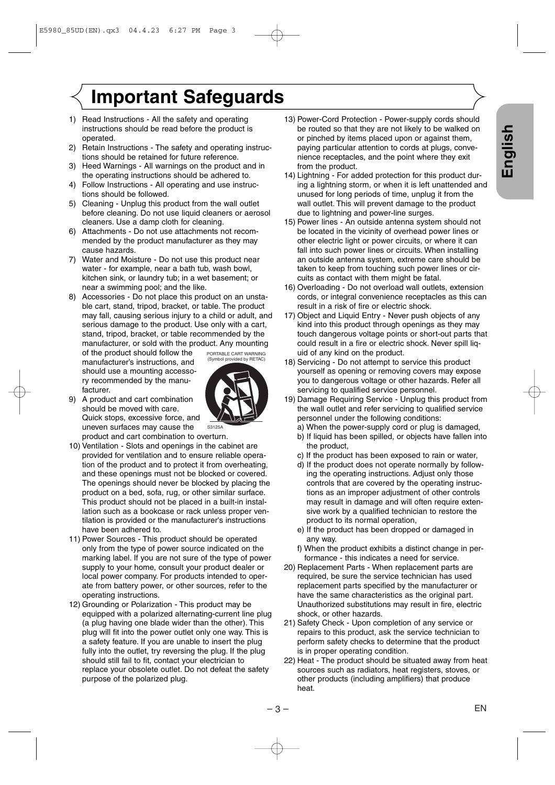## **Important Safeguards**

- 1) Read Instructions All the safety and operating instructions should be read before the product is operated.
- 2) Retain Instructions The safety and operating instructions should be retained for future reference.
- 3) Heed Warnings All warnings on the product and in the operating instructions should be adhered to.
- 4) Follow Instructions All operating and use instructions should be followed.
- 5) Cleaning Unplug this product from the wall outlet before cleaning. Do not use liquid cleaners or aerosol cleaners. Use a damp cloth for cleaning.
- 6) Attachments Do not use attachments not recommended by the product manufacturer as they may cause hazards.
- 7) Water and Moisture Do not use this product near water - for example, near a bath tub, wash bowl, kitchen sink, or laundry tub; in a wet basement; or near a swimming pool; and the like.
- 8) Accessories Do not place this product on an unstable cart, stand, tripod, bracket, or table. The product may fall, causing serious injury to a child or adult, and serious damage to the product. Use only with a cart, stand, tripod, bracket, or table recommended by the manufacturer, or sold with the product. Any mounting

of the product should follow the manufacturer's instructions, and should use a mounting accessory recommended by the manufacturer.



- 10) Ventilation Slots and openings in the cabinet are provided for ventilation and to ensure reliable operation of the product and to protect it from overheating, and these openings must not be blocked or covered. The openings should never be blocked by placing the product on a bed, sofa, rug, or other similar surface. This product should not be placed in a built-in installation such as a bookcase or rack unless proper ventilation is provided or the manufacturer's instructions have been adhered to.
- 11) Power Sources This product should be operated only from the type of power source indicated on the marking label. If you are not sure of the type of power supply to your home, consult your product dealer or local power company. For products intended to operate from battery power, or other sources, refer to the operating instructions.
- 12) Grounding or Polarization This product may be equipped with a polarized alternating-current line plug (a plug having one blade wider than the other). This plug will fit into the power outlet only one way. This is a safety feature. If you are unable to insert the plug fully into the outlet, try reversing the plug. If the plug should still fail to fit, contact your electrician to replace your obsolete outlet. Do not defeat the safety purpose of the polarized plug.
- 13) Power-Cord Protection Power-supply cords should be routed so that they are not likely to be walked on or pinched by items placed upon or against them, paying particular attention to cords at plugs, convenience receptacles, and the point where they exit from the product.
- 14) Lightning For added protection for this product during a lightning storm, or when it is left unattended and unused for long periods of time, unplug it from the wall outlet. This will prevent damage to the product due to lightning and power-line surges.
- 15) Power lines An outside antenna system should not be located in the vicinity of overhead power lines or other electric light or power circuits, or where it can fall into such power lines or circuits. When installing an outside antenna system, extreme care should be taken to keep from touching such power lines or circuits as contact with them might be fatal.
- 16) Overloading Do not overload wall outlets, extension cords, or integral convenience receptacles as this can result in a risk of fire or electric shock.
- 17) Object and Liquid Entry Never push objects of any kind into this product through openings as they may touch dangerous voltage points or short-out parts that could result in a fire or electric shock. Never spill liquid of any kind on the product.
- 18) Servicing Do not attempt to service this product yourself as opening or removing covers may expose you to dangerous voltage or other hazards. Refer all servicing to qualified service personnel.
- 19) Damage Requiring Service Unplug this product from the wall outlet and refer servicing to qualified service personnel under the following conditions:
	- a) When the power-supply cord or plug is damaged,
	- b) If liquid has been spilled, or objects have fallen into the product,
	- c) If the product has been exposed to rain or water,
	- d) If the product does not operate normally by following the operating instructions. Adjust only those controls that are covered by the operating instructions as an improper adjustment of other controls may result in damage and will often require extensive work by a qualified technician to restore the product to its normal operation,
	- e) If the product has been dropped or damaged in any way.
	- f) When the product exhibits a distinct change in performance - this indicates a need for service.
- 20) Replacement Parts When replacement parts are required, be sure the service technician has used replacement parts specified by the manufacturer or have the same characteristics as the original part. Unauthorized substitutions may result in fire, electric shock, or other hazards.
- 21) Safety Check Upon completion of any service or repairs to this product, ask the service technician to perform safety checks to determine that the product is in proper operating condition.
- 22) Heat The product should be situated away from heat sources such as radiators, heat registers, stoves, or other products (including amplifiers) that produce heat.

PORTABLE CART WARNING (Symbol provided by RETAC)

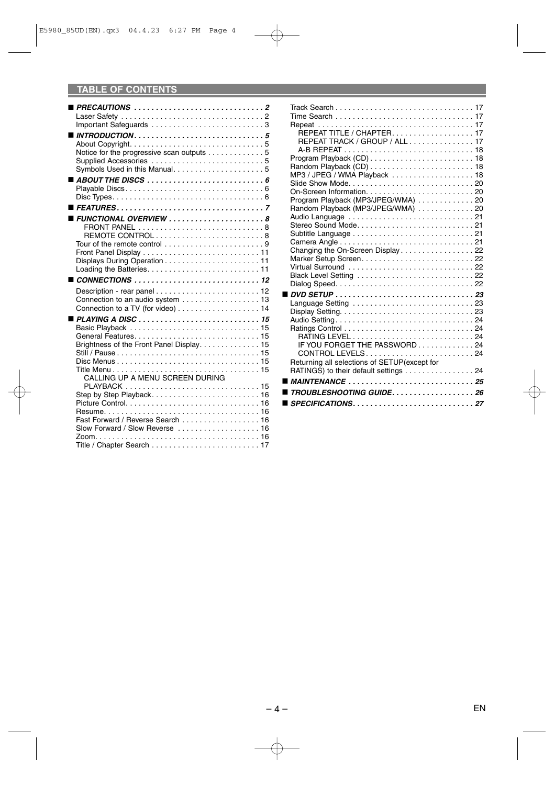## **TABLE OF CONTENTS**

| $\blacksquare$ PRECAUTIONS $\ldots \ldots \ldots \ldots \ldots \ldots \ldots \ldots \ldots \ldots$<br>Notice for the progressive scan outputs 5<br>$\blacksquare$ FUNCTIONAL OVERVIEW $\ldots \ldots \ldots \ldots \ldots \ldots \ldots \ldots$<br>REMOTE CONTROL8<br>Tour of the remote control $\ldots \ldots \ldots \ldots \ldots$<br>$\blacksquare$ CONNECTIONS $\ldots \ldots \ldots \ldots \ldots \ldots \ldots \ldots \ldots \ldots$<br>Connection to an audio system  13<br>Connection to a TV (for video) 14<br>$\blacksquare$ PLAYING A DISC $\ldots \ldots \ldots \ldots \ldots \ldots \ldots \ldots \ldots \ldots \ldots$<br>Brightness of the Front Panel Display. 15<br>CALLING UP A MENU SCREEN DURING |
|-----------------------------------------------------------------------------------------------------------------------------------------------------------------------------------------------------------------------------------------------------------------------------------------------------------------------------------------------------------------------------------------------------------------------------------------------------------------------------------------------------------------------------------------------------------------------------------------------------------------------------------------------------------------------------------------------------------------------|
|                                                                                                                                                                                                                                                                                                                                                                                                                                                                                                                                                                                                                                                                                                                       |
|                                                                                                                                                                                                                                                                                                                                                                                                                                                                                                                                                                                                                                                                                                                       |
|                                                                                                                                                                                                                                                                                                                                                                                                                                                                                                                                                                                                                                                                                                                       |
|                                                                                                                                                                                                                                                                                                                                                                                                                                                                                                                                                                                                                                                                                                                       |
|                                                                                                                                                                                                                                                                                                                                                                                                                                                                                                                                                                                                                                                                                                                       |
|                                                                                                                                                                                                                                                                                                                                                                                                                                                                                                                                                                                                                                                                                                                       |
|                                                                                                                                                                                                                                                                                                                                                                                                                                                                                                                                                                                                                                                                                                                       |
|                                                                                                                                                                                                                                                                                                                                                                                                                                                                                                                                                                                                                                                                                                                       |
|                                                                                                                                                                                                                                                                                                                                                                                                                                                                                                                                                                                                                                                                                                                       |
|                                                                                                                                                                                                                                                                                                                                                                                                                                                                                                                                                                                                                                                                                                                       |
|                                                                                                                                                                                                                                                                                                                                                                                                                                                                                                                                                                                                                                                                                                                       |
|                                                                                                                                                                                                                                                                                                                                                                                                                                                                                                                                                                                                                                                                                                                       |
|                                                                                                                                                                                                                                                                                                                                                                                                                                                                                                                                                                                                                                                                                                                       |
|                                                                                                                                                                                                                                                                                                                                                                                                                                                                                                                                                                                                                                                                                                                       |
|                                                                                                                                                                                                                                                                                                                                                                                                                                                                                                                                                                                                                                                                                                                       |
|                                                                                                                                                                                                                                                                                                                                                                                                                                                                                                                                                                                                                                                                                                                       |
|                                                                                                                                                                                                                                                                                                                                                                                                                                                                                                                                                                                                                                                                                                                       |
|                                                                                                                                                                                                                                                                                                                                                                                                                                                                                                                                                                                                                                                                                                                       |
|                                                                                                                                                                                                                                                                                                                                                                                                                                                                                                                                                                                                                                                                                                                       |
|                                                                                                                                                                                                                                                                                                                                                                                                                                                                                                                                                                                                                                                                                                                       |
|                                                                                                                                                                                                                                                                                                                                                                                                                                                                                                                                                                                                                                                                                                                       |
|                                                                                                                                                                                                                                                                                                                                                                                                                                                                                                                                                                                                                                                                                                                       |
|                                                                                                                                                                                                                                                                                                                                                                                                                                                                                                                                                                                                                                                                                                                       |
|                                                                                                                                                                                                                                                                                                                                                                                                                                                                                                                                                                                                                                                                                                                       |
|                                                                                                                                                                                                                                                                                                                                                                                                                                                                                                                                                                                                                                                                                                                       |
|                                                                                                                                                                                                                                                                                                                                                                                                                                                                                                                                                                                                                                                                                                                       |
|                                                                                                                                                                                                                                                                                                                                                                                                                                                                                                                                                                                                                                                                                                                       |
|                                                                                                                                                                                                                                                                                                                                                                                                                                                                                                                                                                                                                                                                                                                       |
|                                                                                                                                                                                                                                                                                                                                                                                                                                                                                                                                                                                                                                                                                                                       |
|                                                                                                                                                                                                                                                                                                                                                                                                                                                                                                                                                                                                                                                                                                                       |
|                                                                                                                                                                                                                                                                                                                                                                                                                                                                                                                                                                                                                                                                                                                       |
|                                                                                                                                                                                                                                                                                                                                                                                                                                                                                                                                                                                                                                                                                                                       |
|                                                                                                                                                                                                                                                                                                                                                                                                                                                                                                                                                                                                                                                                                                                       |
| Fast Forward / Reverse Search 16                                                                                                                                                                                                                                                                                                                                                                                                                                                                                                                                                                                                                                                                                      |
| Slow Forward / Slow Reverse  16                                                                                                                                                                                                                                                                                                                                                                                                                                                                                                                                                                                                                                                                                       |
|                                                                                                                                                                                                                                                                                                                                                                                                                                                                                                                                                                                                                                                                                                                       |
|                                                                                                                                                                                                                                                                                                                                                                                                                                                                                                                                                                                                                                                                                                                       |

| REPEAT TITLE / CHAPTER. 17                                                                              |  |
|---------------------------------------------------------------------------------------------------------|--|
| REPEAT TRACK / GROUP / ALL 17                                                                           |  |
|                                                                                                         |  |
|                                                                                                         |  |
|                                                                                                         |  |
| MP3 / JPEG / WMA Playback  18                                                                           |  |
|                                                                                                         |  |
|                                                                                                         |  |
| Program Playback (MP3/JPEG/WMA) 20                                                                      |  |
| Random Playback (MP3/JPEG/WMA) 20                                                                       |  |
|                                                                                                         |  |
|                                                                                                         |  |
|                                                                                                         |  |
|                                                                                                         |  |
| Changing the On-Screen Display 22                                                                       |  |
|                                                                                                         |  |
|                                                                                                         |  |
| Black Level Setting  22                                                                                 |  |
|                                                                                                         |  |
| $\blacksquare$ DVD SETUP $\ldots \ldots \ldots \ldots \ldots \ldots \ldots \ldots \ldots \ldots \ldots$ |  |
|                                                                                                         |  |
|                                                                                                         |  |
| Audio Setting24                                                                                         |  |
|                                                                                                         |  |
|                                                                                                         |  |
| IF YOU FORGET THE PASSWORD24                                                                            |  |
| CONTROL LEVELS24                                                                                        |  |
| Returning all selections of SETUP(except for                                                            |  |
| RATINGS) to their default settings 24                                                                   |  |
|                                                                                                         |  |
| TROUBLESHOOTING GUIDE26                                                                                 |  |
|                                                                                                         |  |
|                                                                                                         |  |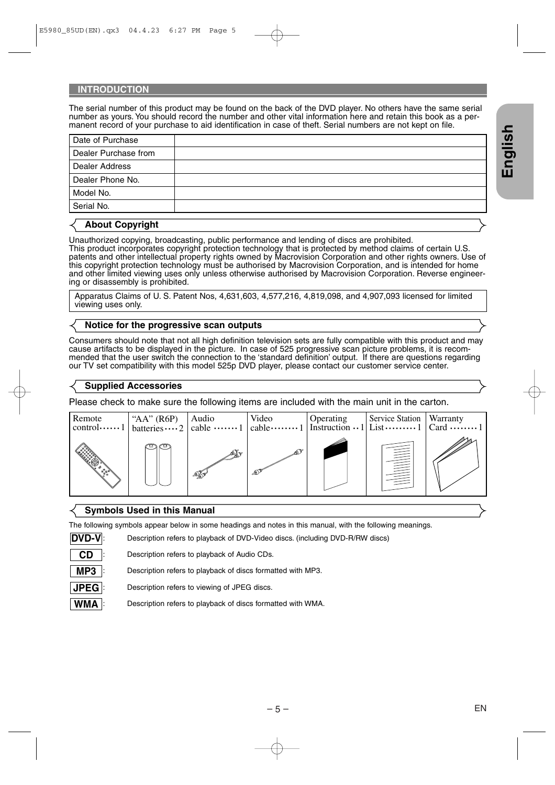#### **INTRODUCTION**

The serial number of this product may be found on the back of the DVD player. No others have the same serial number as yours. You should record the number and other vital information here and retain this book as a permanent record of your purchase to aid identification in case of theft. Serial numbers are not kept on file.

| Date of Purchase     |  |
|----------------------|--|
| Dealer Purchase from |  |
| Dealer Address       |  |
| Dealer Phone No.     |  |
| Model No.            |  |
| Serial No.           |  |

#### **About Copyright**

Unauthorized copying, broadcasting, public performance and lending of discs are prohibited.

This product incorporates copyright protection technology that is protected by method claims of certain U.S. patents and other intellectual property rights owned by Macrovision Corporation and other rights owners. Use of this copyright protection technology must be authorised by Macrovision Corporation, and is intended for home and other limited viewing uses only unless otherwise authorised by Macrovision Corporation. Reverse engineering or disassembly is prohibited.

Apparatus Claims of U. S. Patent Nos, 4,631,603, 4,577,216, 4,819,098, and 4,907,093 licensed for limited viewing uses only.

#### **Notice for the progressive scan outputs**

Consumers should note that not all high definition television sets are fully compatible with this product and may cause artifacts to be displayed in the picture. In case of 525 progressive scan picture problems, it is recommended that the user switch the connection to the 'standard definition' output. If there are questions regarding our TV set compatibility with this model 525p DVD player, please contact our customer service center.

#### **Supplied Accessories**

Please check to make sure the following items are included with the main unit in the carton.



#### **Symbols Used in this Manual**

**MP3 CD DVD-V**

The following symbols appear below in some headings and notes in this manual, with the following meanings.

: Description refers to playback of DVD-Video discs. (including DVD-R/RW discs)

: Description refers to playback of Audio CDs.

: Description refers to playback of discs formatted with MP3.

: Description refers to viewing of JPEG discs. **JPEG**

**WMA** : Description refers to playback of discs formatted with WMA.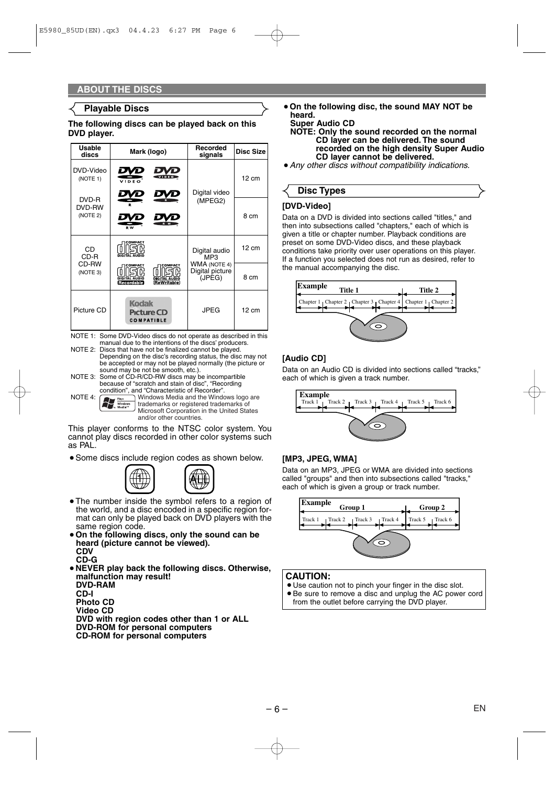#### **Playable Discs**

#### **The following discs can be played back on this DVD player.**

| <b>Usable</b><br>discs      | Mark (logo)                                                                                    | <b>Recorded</b><br>signals                       | <b>Disc Size</b> |
|-----------------------------|------------------------------------------------------------------------------------------------|--------------------------------------------------|------------------|
| DVD-Video<br>(NOTE 1)       | VIDEO<br>VIDEO                                                                                 | Digital video                                    | $12 \text{ cm}$  |
| DVD-R<br>DVD-RW<br>(NOTE 2) | DVD<br><b>PW</b>                                                                               | (MPEG2)                                          | 8 cm             |
| CD<br>CD-R                  | COMPACT                                                                                        | Digital audio<br>MP3                             | 12 cm            |
| CD-RW<br>(NOTE 3)           | COMPACT<br>COMPACT<br><b>DIGITAL AUDIO</b><br><b>DIGITAL AUDIO</b><br>ReWritable<br>Recordable | <b>WMA (NOTE 4)</b><br>Digital picture<br>(JPEG) | 8 cm             |
| Picture CD                  | <b>Kodak</b><br><b>Picture CD</b><br><b>COMPATIBLE</b>                                         | JPEG                                             | 12 cm            |

NOTE 1: Some DVD-Video discs do not operate as described in this manual due to the intentions of the discs' producers.

- NOTE 2: Discs that have not be finalized cannot be played. Depending on the disc's recording status, the disc may not be accepted or may not be played normally (the picture or sound may be not be smooth, etc.).
- NOTE 3: Some of CD-R/CD-RW discs may be incompartible because of "scratch and stain of disc", "Recording condition", and "Characteristic of Recorder". NOTE 4:  $\sum_{\text{max}}$  Windows Media and the Windows logo are
- trademarks or registered trademarks of Microsoft Corporation in the United States and/or other countries.

This player conforms to the NTSC color system. You cannot play discs recorded in other color systems such as PAL.

• Some discs include region codes as shown below.



- The number inside the symbol refers to a region of the world, and a disc encoded in a specific region format can only be played back on DVD players with the same region code.
- **On the following discs, only the sound can be heard (picture cannot be viewed). CDV CD-G**
- ¡**NEVER play back the following discs. Otherwise, malfunction may result! DVD-RAM CD-I Photo CD Video CD DVD with region codes other than 1 or ALL DVD-ROM for personal computers**
	- **CD-ROM for personal computers**

¡**On the following disc, the sound MAY NOT be heard.**

**Super Audio CD**

**NOTE: Only the sound recorded on the normal CD layer can be delivered. The sound recorded on the high density Super Audio CD layer cannot be delivered.**

¡*Any other discs without compatibility indications.*

## **Disc Types**

#### **[DVD-Video]**

Data on a DVD is divided into sections called "titles," and then into subsections called "chapters," each of which is given a title or chapter number. Playback conditions are preset on some DVD-Video discs, and these playback conditions take priority over user operations on this player. If a function you selected does not run as desired, refer to the manual accompanying the disc.



#### **[Audio CD]**

Data on an Audio CD is divided into sections called "tracks," each of which is given a track number.



#### **[MP3, JPEG, WMA]**

Data on an MP3, JPEG or WMA are divided into sections called "groups" and then into subsections called "tracks," each of which is given a group or track number.



#### **CAUTION:**

- Use caution not to pinch your finger in the disc slot.
- Be sure to remove a disc and unplug the AC power cord from the outlet before carrying the DVD player.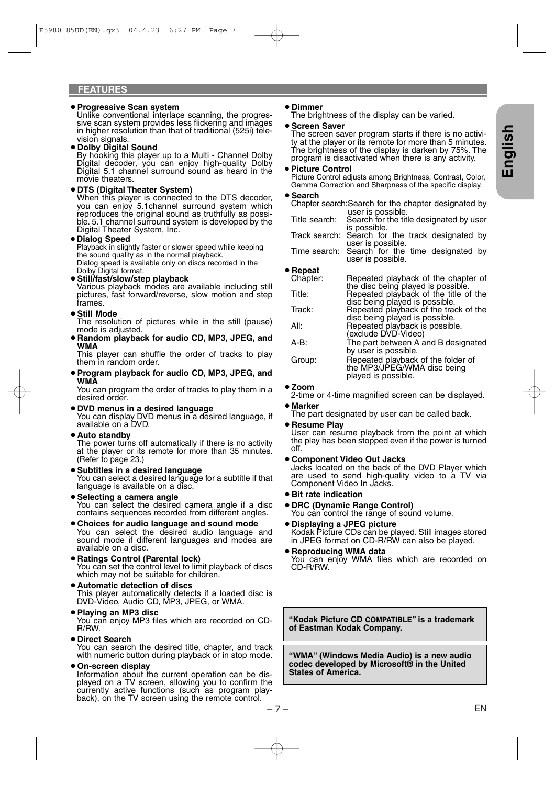#### ¡**Progressive Scan system**

Unlike conventional interlace scanning, the progressive scan system provides less flickering and images in higher resolution than that of traditional (525i) television signals.

#### ¡**Dolby Digital Sound**

By hooking this player up to a Multi - Channel Dolby Digital decoder, you can enjoy high-quality Dolby Digital 5.1 channel surround sound as heard in the movie theaters.

#### ¡**DTS (Digital Theater System)**

When this player is connected to the DTS decoder, you can enjoy 5.1channel surround system which reproduces the original sound as truthfully as possible. 5.1 channel surround system is developed by the<br>Digital Theater System, Inc.

#### ¡**Dialog Speed**

Playback in slightly faster or slower speed while keeping the sound quality as in the normal playback. Dialog speed is available only on discs recorded in the Dolby Digital format.

**• Still/fast/slow/step playback**<br>Various playback modes are available including still pictures, fast forward/reverse, slow motion and step frames.

#### **• Still Mode**

The resolution of pictures while in the still (pause) mode is adjusted.

¡**Random playback for audio CD, MP3, JPEG, and WMA**

This player can shuffle the order of tracks to play them in random order.

¡**Program playback for audio CD, MP3, JPEG, and WMA**

You can program the order of tracks to play them in a desired order.

- ¡**DVD menus in a desired language**  You can display DVD menus in a desired language, if available on a DVD.
- ¡**Auto standby**

The power turns off automatically if there is no activity at the player or its remote for more than 35 minutes. (Refer to page 23.)

- ¡**Subtitles in a desired language**  You can select a desired language for a subtitle if that language is available on a disc.
- ¡**Selecting a camera angle**  You can select the desired camera angle if a disc contains sequences recorded from different angles.
- ¡**Choices for audio language and sound mode**  You can select the desired audio language and sound mode if different languages and modes are available on a disc.
- ¡**Ratings Control (Parental lock)**

You can set the control level to limit playback of discs which may not be suitable for children.

- ¡**Automatic detection of discs**  This player automatically detects if a loaded disc is DVD-Video, Audio CD, MP3, JPEG, or WMA.
- ¡**Playing an MP3 disc**

You can enjoy MP3 files which are recorded on CD-R/RW.

#### ¡**Direct Search**

You can search the desired title, chapter, and track with numeric button during playback or in stop mode.

#### ¡**On-screen display**

Information about the current operation can be displayed on a TV screen, allowing you to confirm the currently active functions (such as program playback), on the TV screen using the remote control.

#### ¡**Dimmer**

The brightness of the display can be varied.

#### ¡**Screen Saver**

The screen saver program starts if there is no activity at the player or its remote for more than 5 minutes. The brightness of the display is darken by 75%. The program is disactivated when there is any activity.

#### ¡**Picture Control**

Picture Control adjusts among Brightness, Contrast, Color, Gamma Correction and Sharpness of the specific display.

#### ¡**Search**

- Chapter search:Search for the chapter designated by user is possible.
- Title search: Search for the title designated by user is possible.
- Track search: Search for the track designated by user is possible.
- Time search: Search for the time designated by user is possible.

#### ¡**Repeat**

| <br>Chapter: | Repeated playback of the chapter of                                                                       |
|--------------|-----------------------------------------------------------------------------------------------------------|
| Title:       | the disc being played is possible.<br>Repeated playback of the title of the                               |
| Track:       | disc being played is possible.<br>Repeated playback of the track of the<br>disc being played is possible. |
| All:         | Repeated playback is possible.<br>(exclude DVD-Video)                                                     |
| $A-B:$       | The part between A and B designated<br>by user is possible.                                               |
| Group:       | Repeated playback of the folder of<br>the MP3/JPEG/WMA disc being<br>played is possible.                  |

#### ¡**Zoom**

2-time or 4-time magnified screen can be displayed. ¡**Marker**

The part designated by user can be called back.

¡**Resume Play**

User can resume playback from the point at which the play has been stopped even if the power is turned off.

¡**Component Video Out Jacks**

Jacks located on the back of the DVD Player which are used to send high-quality video to a TV via Component Video In Jacks.

- ¡**Bit rate indication**
- ¡**DRC (Dynamic Range Control)**

You can control the range of sound volume.

- ¡**Displaying a JPEG picture**  Kodak Picture CDs can be played. Still images stored in JPEG format on CD-R/RW can also be played.
- ¡**Reproducing WMA data**  You can enjoy WMA files which are recorded on CD-R/RW.

**"Kodak Picture CD COMPATIBLE" is a trademark of Eastman Kodak Company.**

**"WMA" (Windows Media Audio) is a new audio codec developed by Microsoft® in the United States of America.**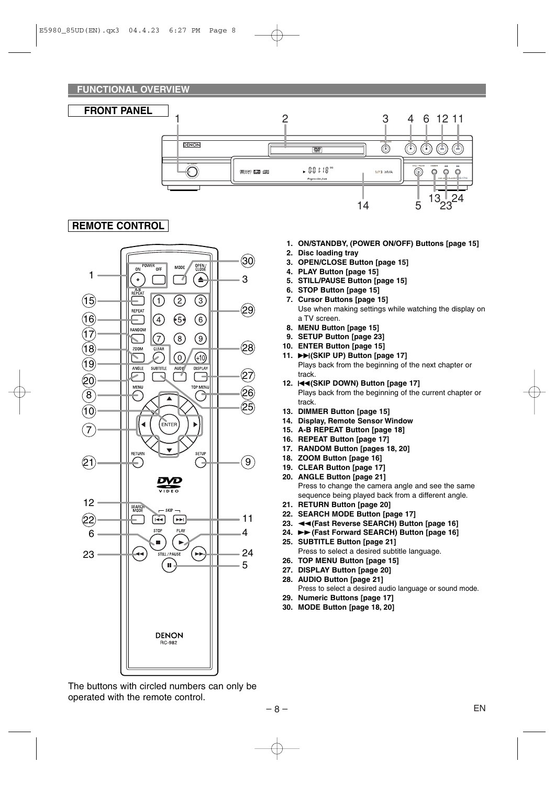**FUNCTIONAL OVERVIEW**



### **REMOTE CONTROL**



The buttons with circled numbers can only be operated with the remote control.

- **1. ON/STANDBY, (POWER ON/OFF) Buttons [page 15]**
- **2. Disc loading tray**
- **3. OPEN/CLOSE Button [page 15]**
- **4. PLAY Button [page 15]**
- **5. STILL/PAUSE Button [page 15]**
- **6. STOP Button [page 15]**
- **7. Cursor Buttons [page 15]** Use when making settings while watching the display on a TV screen.
- **8. MENU Button [page 15]**
- **9. SETUP Button [page 23]**
- **10. ENTER Button [page 15]**
- **11.** ▶▶ (SKIP UP) Button [page 17] Plays back from the beginning of the next chapter or track.
- 12. **H (SKIP DOWN)** Button [page 17] Plays back from the beginning of the current chapter or track.
- **13. DIMMER Button [page 15]**
- **14. Display, Remote Sensor Window**
- **15. A-B REPEAT Button [page 18]**
- **16. REPEAT Button [page 17]**
- **17. RANDOM Button [pages 18, 20]**
- **18. ZOOM Button [page 16]**
- **19. CLEAR Button [page 17]**
- **20. ANGLE Button [page 21]** Press to change the camera angle and see the same sequence being played back from a different angle.
- **21. RETURN Button [page 20]**
- **22. SEARCH MODE Button [page 17]**
- **23. ◀◀(Fast Reverse SEARCH) Button [page 16]**
- 24. ►► (Fast Forward SEARCH) Button [page 16] **25. SUBTITLE Button [page 21]**
- Press to select a desired subtitle language.
- **26. TOP MENU Button [page 15]**
- **27. DISPLAY Button [page 20] 28. AUDIO Button [page 21]**
	- Press to select a desired audio language or sound mode.
- **29. Numeric Buttons [page 17]**
- **30. MODE Button [page 18, 20]**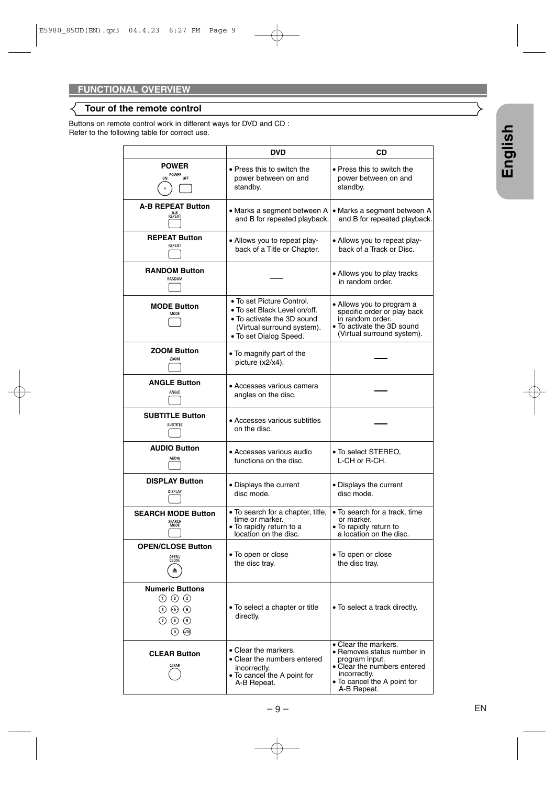### **Tour of the remote control**

Buttons on remote control work in different ways for DVD and CD : Refer to the following table for correct use.

|                                                                                                                             | <b>DVD</b>                                                                                                                                      | CD                                                                                                                                                                |  |
|-----------------------------------------------------------------------------------------------------------------------------|-------------------------------------------------------------------------------------------------------------------------------------------------|-------------------------------------------------------------------------------------------------------------------------------------------------------------------|--|
| <b>POWER</b><br>ON POWER OFF                                                                                                | • Press this to switch the<br>power between on and<br>standby.                                                                                  | $\bullet$ Press this to switch the<br>power between on and<br>standby.                                                                                            |  |
| <b>A-B REPEAT Button</b><br>REPEAT                                                                                          | • Marks a segment between A<br>and B for repeated playback.                                                                                     | • Marks a segment between A<br>and B for repeated playback.                                                                                                       |  |
| <b>REPEAT Button</b><br>REPEAT                                                                                              | • Allows you to repeat play-<br>back of a Title or Chapter.                                                                                     | • Allows you to repeat play-<br>back of a Track or Disc.                                                                                                          |  |
| <b>RANDOM Button</b><br>RANDOM                                                                                              |                                                                                                                                                 | • Allows you to play tracks<br>in random order.                                                                                                                   |  |
| <b>MODE Button</b><br>MODE                                                                                                  | • To set Picture Control.<br>• To set Black Level on/off.<br>• To activate the 3D sound<br>(Virtual surround system).<br>• To set Dialog Speed. | • Allows you to program a<br>specific order or play back<br>in random order.<br>• To activate the 3D sound<br>(Virtual surround system).                          |  |
| <b>ZOOM Button</b><br>Z00M                                                                                                  | • To magnify part of the<br>picture (x2/x4).                                                                                                    |                                                                                                                                                                   |  |
| <b>ANGLE Button</b><br>ANGLE                                                                                                | • Accesses various camera<br>angles on the disc.                                                                                                |                                                                                                                                                                   |  |
| <b>SUBTITLE Button</b><br><b>SUBTTLE</b>                                                                                    | • Accesses various subtitles<br>on the disc.                                                                                                    |                                                                                                                                                                   |  |
| <b>AUDIO Button</b><br>AUDIO                                                                                                | • Accesses various audio<br>functions on the disc.                                                                                              | • To select STEREO,<br>L-CH or R-CH.                                                                                                                              |  |
| <b>DISPLAY Button</b><br>DISPLAY                                                                                            | • Displays the current<br>disc mode.                                                                                                            | • Displays the current<br>disc mode.                                                                                                                              |  |
| <b>SEARCH MODE Button</b><br>SEARCH<br>MODE                                                                                 | • To search for a chapter, title,<br>time or marker.<br>• To rapidly return to a<br>location on the disc.                                       | • To search for a track, time<br>or marker.<br>• To rapidly return to<br>a location on the disc.                                                                  |  |
| <b>OPEN/CLOSE Button</b><br>OPEN/<br>CLOSE                                                                                  | • To open or close<br>the disc tray.                                                                                                            | • To open or close<br>the disc tray.                                                                                                                              |  |
| <b>Numeric Buttons</b><br>$(1)$ $(2)$ $(3)$<br>$\circled{4}$ $\circled{5}$ $\circled{6}$<br>$(7)$ (8) $(9)$<br>$(0)$ $(10)$ | • To select a chapter or title<br>directly.                                                                                                     | • To select a track directly.                                                                                                                                     |  |
| <b>CLEAR Button</b><br>CLEAR                                                                                                | • Clear the markers.<br>• Clear the numbers entered<br>incorrectly.<br>• To cancel the A point for<br>A-B Repeat.                               | • Clear the markers.<br>• Removes status number in<br>program input.<br>• Clear the numbers entered<br>incorrectly.<br>• To cancel the A point for<br>A-B Repeat. |  |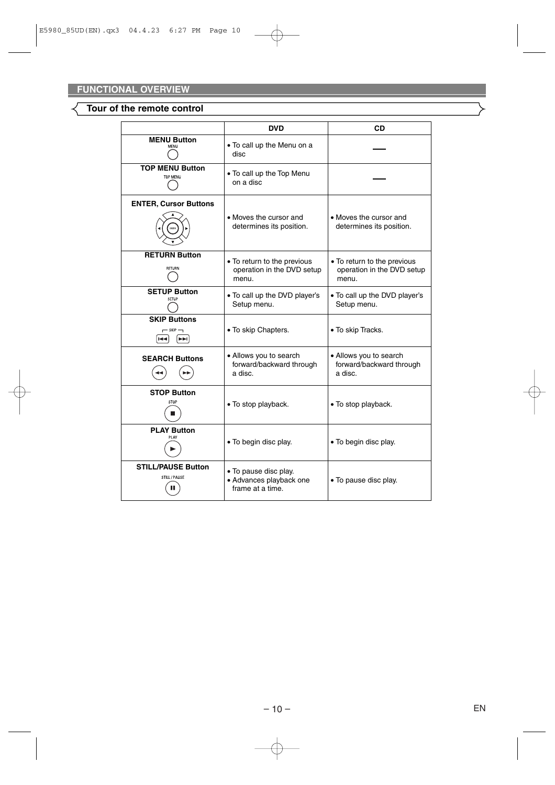### **Tour of the remote control**

|                                                     | <b>DVD</b>                                                           | CD                                                                 |
|-----------------------------------------------------|----------------------------------------------------------------------|--------------------------------------------------------------------|
| <b>MENU Button</b><br>MENU                          | • To call up the Menu on a<br>disc                                   |                                                                    |
| <b>TOP MENU Button</b><br>TOP MENU                  | • To call up the Top Menu<br>on a disc                               |                                                                    |
| <b>ENTER, Cursor Buttons</b>                        | • Moves the cursor and<br>determines its position.                   | • Moves the cursor and<br>determines its position.                 |
| <b>RETURN Button</b><br><b>RFTURN</b>               | • To return to the previous<br>operation in the DVD setup<br>menu.   | • To return to the previous<br>operation in the DVD setup<br>menu. |
| <b>SETUP Button</b><br>SFTUP                        | • To call up the DVD player's<br>Setup menu.                         | • To call up the DVD player's<br>Setup menu.                       |
| <b>SKIP Buttons</b><br>$-$ SKP $-$<br>IEEI<br>$H =$ | • To skip Chapters.                                                  | • To skip Tracks.                                                  |
| <b>SEARCH Buttons</b>                               | • Allows you to search<br>forward/backward through<br>a disc.        | • Allows you to search<br>forward/backward through<br>a disc.      |
| <b>STOP Button</b><br>STOP                          | • To stop playback.                                                  | • To stop playback.                                                |
| <b>PLAY Button</b><br>PI AV                         | • To begin disc play.                                                | • To begin disc play.                                              |
| <b>STILL/PAUSE Button</b><br>STILL / PAUSE          | • To pause disc play.<br>• Advances playback one<br>frame at a time. | • To pause disc play.                                              |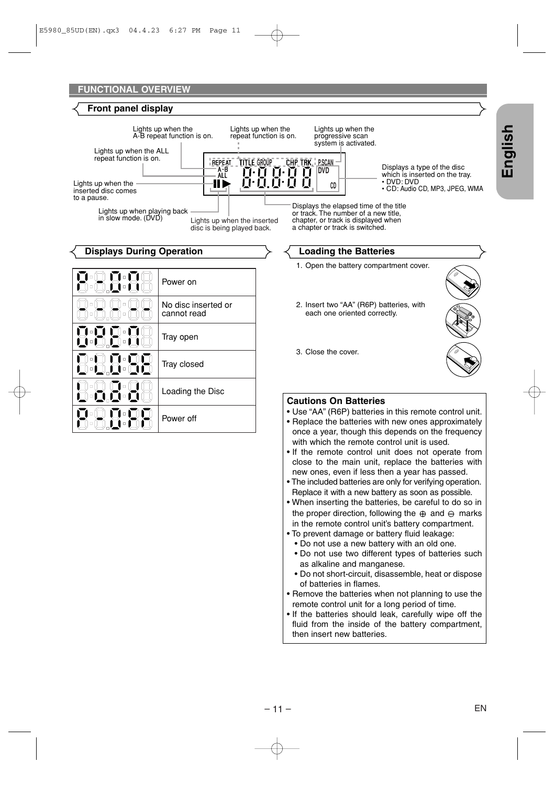

**English**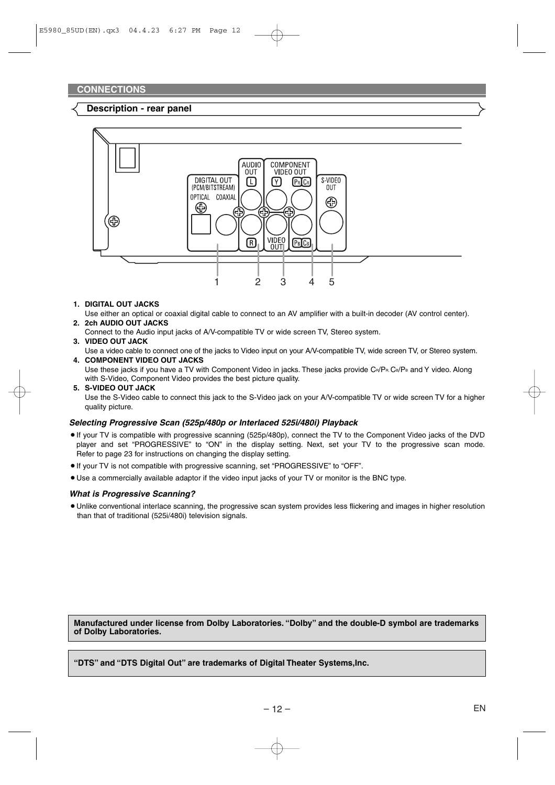#### **Description - rear panel**



#### **1. DIGITAL OUT JACKS**

Use either an optical or coaxial digital cable to connect to an AV amplifier with a built-in decoder (AV control center). **2. 2ch AUDIO OUT JACKS**

Connect to the Audio input jacks of A/V-compatible TV or wide screen TV, Stereo system.

#### **3. VIDEO OUT JACK**

Use a video cable to connect one of the jacks to Video input on your A/V-compatible TV, wide screen TV, or Stereo system. **4. COMPONENT VIDEO OUT JACKS**

Use these jacks if you have a TV with Component Video in jacks. These jacks provide  $C_R/P_R$ ,  $C_B/P_B$  and Y video. Along with S-Video, Component Video provides the best picture quality.

**5. S-VIDEO OUT JACK** Use the S-Video cable to connect this jack to the S-Video jack on your A/V-compatible TV or wide screen TV for a higher quality picture.

#### *Selecting Progressive Scan (525p/480p or Interlaced 525i/480i) Playback*

- ¡If your TV is compatible with progressive scanning (525p/480p), connect the TV to the Component Video jacks of the DVD player and set "PROGRESSIVE" to "ON" in the display setting. Next, set your TV to the progressive scan mode. Refer to page 23 for instructions on changing the display setting.
- ¡If your TV is not compatible with progressive scanning, set "PROGRESSIVE" to "OFF".
- Use a commercially available adaptor if the video input jacks of your TV or monitor is the BNC type.

#### *What is Progressive Scanning?*

¡Unlike conventional interlace scanning, the progressive scan system provides less flickering and images in higher resolution than that of traditional (525i/480i) television signals.

**Manufactured under license from Dolby Laboratories. "Dolby" and the double-D symbol are trademarks of Dolby Laboratories.**

**"DTS" and "DTS Digital Out" are trademarks of Digital Theater Systems,Inc.**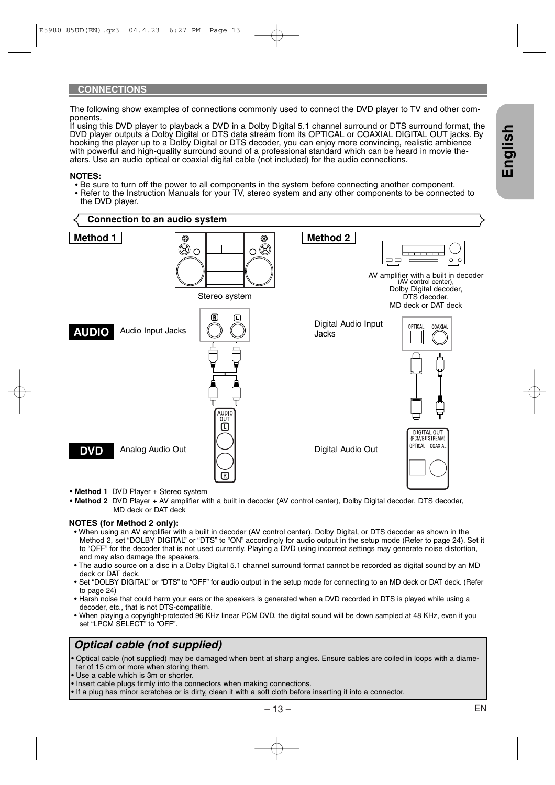#### **CONNECTIONS**

The following show examples of connections commonly used to connect the DVD player to TV and other components.

If using this DVD player to playback a DVD in a Dolby Digital 5.1 channel surround or DTS surround format, the DVD player outputs a Dolby Digital or DTS data stream from its OPTICAL or COAXIAL DIGITAL OUT jacks. By hooking the player up to a Dolby Digital or DTS decoder, you can enjoy more convincing, realistic ambience with powerful and high-quality surround sound of a professional standard which can be heard in movie theaters. Use an audio optical or coaxial digital cable (not included) for the audio connections.

#### **NOTES:**

- Be sure to turn off the power to all components in the system before connecting another component.
- Refer to the Instruction Manuals for your TV, stereo system and any other components to be connected to the DVD player.



- **Method 1** DVD Player + Stereo system
- **Method 2** DVD Player + AV amplifier with a built in decoder (AV control center), Dolby Digital decoder, DTS decoder, MD deck or DAT deck

#### **NOTES (for Method 2 only):**

- When using an AV amplifier with a built in decoder (AV control center), Dolby Digital, or DTS decoder as shown in the Method 2, set "DOLBY DIGITAL" or "DTS" to "ON" accordingly for audio output in the setup mode (Refer to page 24). Set it to "OFF" for the decoder that is not used currently. Playing a DVD using incorrect settings may generate noise distortion, and may also damage the speakers.
- The audio source on a disc in a Dolby Digital 5.1 channel surround format cannot be recorded as digital sound by an MD deck or DAT deck.
- Set "DOLBY DIGITAL" or "DTS" to "OFF" for audio output in the setup mode for connecting to an MD deck or DAT deck. (Refer to page 24)
- Harsh noise that could harm your ears or the speakers is generated when a DVD recorded in DTS is played while using a decoder, etc., that is not DTS-compatible.
- When playing a copyright-protected 96 KHz linear PCM DVD, the digital sound will be down sampled at 48 KHz, even if you set "LPCM SELECT" to "OFF".

## *Optical cable (not supplied)*

• Optical cable (not supplied) may be damaged when bent at sharp angles. Ensure cables are coiled in loops with a diameter of 15 cm or more when storing them.

- Use a cable which is 3m or shorter.
- Insert cable plugs firmly into the connectors when making connections.
- If a plug has minor scratches or is dirty, clean it with a soft cloth before inserting it into a connector.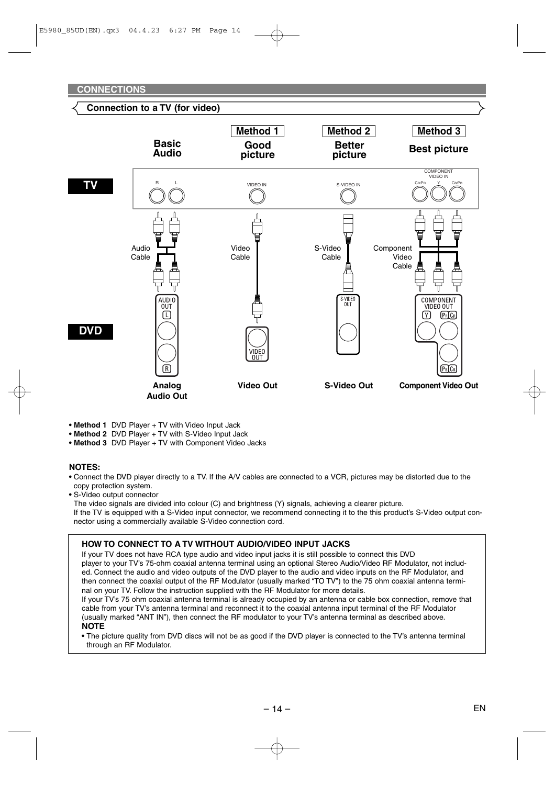#### **Connection to a TV (for video)**



- **Method 1** DVD Player + TV with Video Input Jack
- **Method 2** DVD Player + TV with S-Video Input Jack
- **Method 3** DVD Player + TV with Component Video Jacks

#### **NOTES:**

- **•** Connect the DVD player directly to a TV. If the A/V cables are connected to a VCR, pictures may be distorted due to the copy protection system.
- **•** S-Video output connector

The video signals are divided into colour (C) and brightness (Y) signals, achieving a clearer picture.

If the TV is equipped with a S-Video input connector, we recommend connecting it to the this product's S-Video output connector using a commercially available S-Video connection cord.

#### **HOW TO CONNECT TO A TV WITHOUT AUDIO/VIDEO INPUT JACKS**

If your TV does not have RCA type audio and video input jacks it is still possible to connect this DVD player to your TV's 75-ohm coaxial antenna terminal using an optional Stereo Audio/Video RF Modulator, not included. Connect the audio and video outputs of the DVD player to the audio and video inputs on the RF Modulator, and then connect the coaxial output of the RF Modulator (usually marked "TO TV") to the 75 ohm coaxial antenna terminal on your TV. Follow the instruction supplied with the RF Modulator for more details.

If your TV's 75 ohm coaxial antenna terminal is already occupied by an antenna or cable box connection, remove that cable from your TV's antenna terminal and reconnect it to the coaxial antenna input terminal of the RF Modulator (usually marked "ANT IN"), then connect the RF modulator to your TV's antenna terminal as described above. **NOTE**

**•** The picture quality from DVD discs will not be as good if the DVD player is connected to the TV's antenna terminal through an RF Modulator.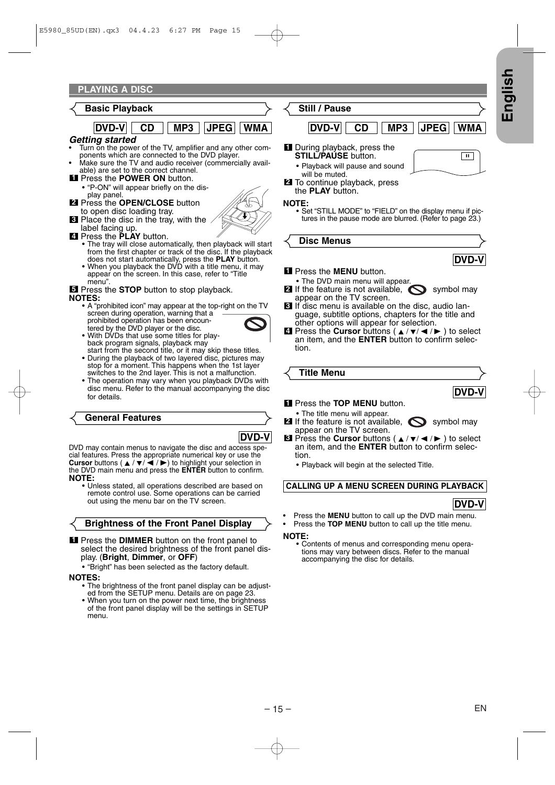#### **Basic Playback**



#### *Getting started*

- Turn on the power of the TV, amplifier and any other components which are connected to the DVD player.
	- Make sure the TV and audio receiver (commercially available) are set to the correct channel.
- Press the **POWER ON** button. **1**
- "P-ON" will appear briefly on the display panel.
- Press the **OPEN/CLOSE** button **2** to open disc loading tray.
- Place the disc in the tray, with the **3** label facing up.
- **4** Press the PLAY button.
	- Press the **PLAY** button.<br>• The tray will close automatically, then playback will start from the first chapter or track of the disc. If the playback does not start automatically, press the **PLAY** button.
	- When you playback the DVD with a title menu, it may appear on the screen. In this case, refer to "Title menu".

**5** Press the **STOP** button to stop playback. **NOTES:**

- A "prohibited icon" may appear at the top-right on the TV screen during operation, warning that a prohibited operation has been encoun
	- tered by the DVD player or the disc.



- With DVDs that use some titles for playback program signals, playback may
- start from the second title, or it may skip these titles. • During the playback of two layered disc, pictures may stop for a moment. This happens when the 1st layer switches to the 2nd layer. This is not a malfunction.
- The operation may vary when you playback DVDs with disc menu. Refer to the manual accompanying the disc for details.

#### **General Features**



DVD may contain menus to navigate the disc and access special features. Press the appropriate numerical key or use the **Cursor** buttons ( $\angle$  /  $\blacktriangledown$ / $\blacktriangle$  / $\blacktriangleright$ ) to highlight your selection in the DVD main menu and press<sup>'</sup>the **ENTER** button to confirm.<br>NOTE:

**NOTE:** • Unless stated, all operations described are based on remote control use. Some operations can be carried out using the menu bar on the TV screen.

#### **Brightness of the Front Panel Display**

**1** Press the DIMMER button on the front panel to select the desired brightness of the front panel display. (**Bright**, **Dimmer**, or **OFF**)

• "Bright" has been selected as the factory default.

- **NOTES:** The brightness of the front panel display can be adjusted from the SETUP menu. Details are on page 23.
	- When you turn on the power next time, the brightness of the front panel display will be the settings in SETUP menu.

**Still / Pause**

## **DVD-V CD MP3 JPEG WMA**

- **II** During playback, press the **STILL/PAUSE** button.
- Playback will pause and sound
- will be muted. To continue playback, press **2**
- the **PLAY** button.

≺

**NOTE:** • Set "STILL MODE" to "FIELD" on the display menu if pictures in the pause mode are blurred. (Refer to page 23.)



- Press the **MENU** button. **1**
- The DVD main menu will appear. **2** If the feature is not available,  $\sum$  symbol may appear on the TV screen.
	-
- If disc menu is available on the disc, audio lan-**3** guage, subtitle options, chapters for the title and other options will appear for selection.
- $\blacksquare$  Press the **Cursor** buttons (  $\blacktriangle$  /  $\blacktriangledown$  /  $\blacktriangle$  /  $\blacktriangleright$  ) to select an item, and the **ENTER** button to confirm selection.

| <b>Title Menu</b> |  |
|-------------------|--|
|                   |  |

- Press the **TOP MENU** button. **1**
- The title menu will appear.
- **2** If the feature is not available,  $\sum$  symbol may appear on the TV screen.

**8** Press the **Cursor** buttons ( $\angle$  /  $\blacktriangledown$ / $\blacktriangle$  / $\blacktriangleright$  ) to select an item, and the **ENTER** button to confirm selection.

• Playback will begin at the selected Title.

#### **CALLING UP A MENU SCREEN DURING PLAYBACK**

### **DVD-V**

**DVD-V**

- Press the **MENU** button to call up the DVD main menu.
- Press the **TOP MENU** button to call up the title menu.

**NOTE:** • Contents of menus and corresponding menu operations may vary between discs. Refer to the manual accompanying the disc for details.



**English**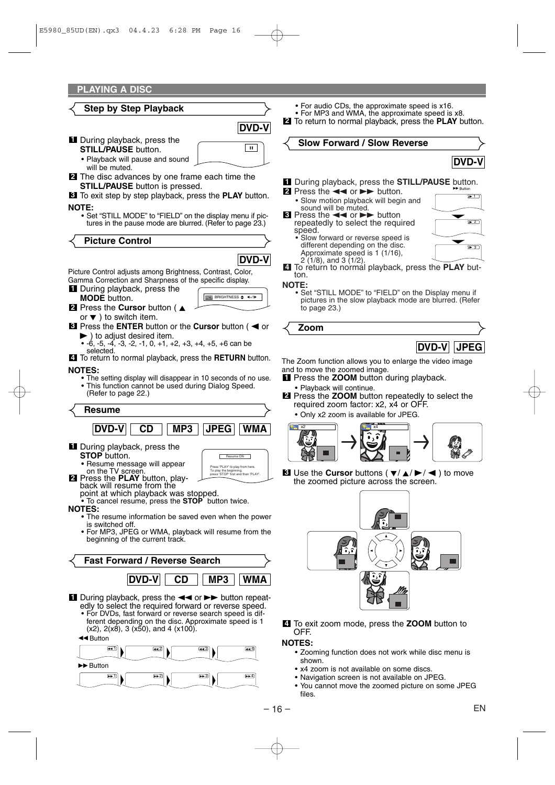

1234

• For audio CDs, the approximate speed is x16.

• For MP3 and WMA, the approximate speed is x8.

**2** To return to normal playback, press the **PLAY** button.

**Slow Forward / Slow Reverse**

![](_page_15_Picture_6.jpeg)

 $\overline{1}$ 

 $2$ 

3

#### **1** During playback, press the **STILL/PAUSE** button. **D**Button

- **2** Press the  $\blacktriangleleft$  or  $\blacktriangleright$  button.
	- Slow motion playback will begin and sound will be muted.
- $\bullet$  Press the  $\bullet\bullet$  or  $\bullet\bullet$  button repeatedly to select the required speed.
	- Slow forward or reverse speed is different depending on the disc. Approximate speed is 1 (1/16),  $2(1/8)$ , and 3  $(1/2)$ .
- To return to normal playback, press the **PLAY** but-**4** ton.

**NOTE:** • Set "STILL MODE" to "FIELD" on the Display menu if pictures in the slow playback mode are blurred. (Refer to page 23.)

**Zoom**

![](_page_15_Picture_16.jpeg)

The Zoom function allows you to enlarge the video image and to move the zoomed image.

- **1** Press the ZOOM button during playback.
- Playback will continue.
- Press the **ZOOM** button repeatedly to select the **2** required zoom factor: x2, x4 or OFF.
	- Only x2 zoom is available for JPEG.

![](_page_15_Picture_22.jpeg)

**8** Use the **Cursor** buttons ( $\blacktriangledown/\blacktriangle/\blacktriangleright/\blacktriangle$ ) to move the zoomed picture across the screen.

![](_page_15_Picture_24.jpeg)

To exit zoom mode, press the **ZOOM** button to **4** OFF.

#### **NOTES:**

- Zooming function does not work while disc menu is shown.
- x4 zoom is not available on some discs.
- Navigation screen is not available on JPEG.
- You cannot move the zoomed picture on some JPEG files.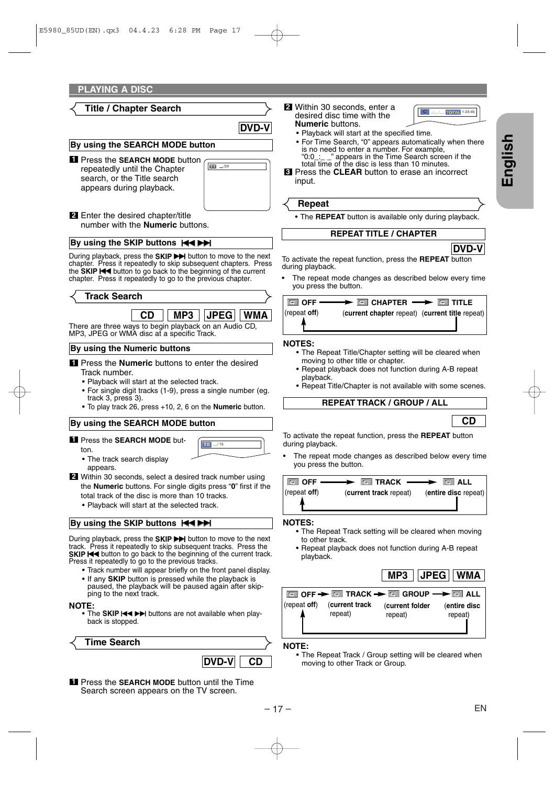### **Title / Chapter Search**

**DVD-V**

#### **By using the SEARCH MODE button**

Press the **SEARCH MODE** button **1** repeatedly until the Chapter search, or the Title search appears during playback.

![](_page_16_Picture_5.jpeg)

2 Enter the desired chapter/title number with the **Numeric** buttons.

#### **By using the SKIP buttons**  $\text{H}\text{H}\text{H}$

During playback, press the **SKIP** >>>>>> button to move to the next chapter. Press it repeatedly to skip subsequent chapters. Press the **SKIP H<sup>1</sup>** button to go back to the beginning of the current chapter. Press it repeatedly to go to the previous chapter.

| <b>Track Search</b>                                                                                  |  |  |                       |  |  |  |
|------------------------------------------------------------------------------------------------------|--|--|-----------------------|--|--|--|
|                                                                                                      |  |  | CD    MP3   JPEG  WMA |  |  |  |
| There are three ways to begin playback on an Audio CD,<br>MP3, JPEG or WMA disc at a specific Track. |  |  |                       |  |  |  |
| By using the Numeric buttons                                                                         |  |  |                       |  |  |  |

- **1** Press the **Numeric** buttons to enter the desired Track number.
	- Playback will start at the selected track.
	- For single digit tracks (1-9), press a single number (eg. track 3, press 3).
	- To play track 26, press +10, 2, 6 on the **Numeric** button.

#### **By using the SEARCH MODE button**

**1** Press the **SEARCH MODE** but-

![](_page_16_Picture_16.jpeg)

- The track search display appears.
- Within 30 seconds, select a desired track number using **2** the **Numeric** buttons. For single digits press "**0**" first if the total track of the disc is more than 10 tracks.
	- Playback will start at the selected track.

#### **By using the SKIP buttons**  $\overrightarrow{H}$

During playback, press the **SKIP** >>>>>> button to move to the next track. Press it repeatedly to skip subsequent tracks. Press the **SKIP H<sup>1</sup>** button to go back to the beginning of the current track. Press it repeatedly to go to the previous tracks.

- Track number will appear briefly on the front panel display.
- If any **SKIP** button is pressed while the playback is paused, the playback will be paused again after skipping to the next track.

ton.

**NOTE:** • The **SKIP**  $\text{H} \rightarrow \text{H}$  buttons are not available when playback is stopped.

**DVD-V CD Time Search**

**1** Press the SEARCH MODE button until the Time Search screen appears on the TV screen.

desired disc time with the **Numeric** buttons. **2** Within 30 seconds, enter a

![](_page_16_Picture_29.jpeg)

- Playback will start at the specified time.
- For Time Search, "0" appears automatically when there is no need to enter a number. For example,  $0.0 \div 7$  appears in the Time Search scree " appears in the Time Search screen if the total time of the disc is less than 10 minutes.
- Press the **CLEAR** button to erase an incorrect **3** input.

#### **Repeat**

• The **REPEAT** button is available only during playback.

#### **REPEAT TITLE / CHAPTER**

![](_page_16_Picture_36.jpeg)

TOTAL 1:23:45

To activate the repeat function, press the **REPEAT** button during playback.

The repeat mode changes as described below every time you press the button.

|                  | $\Box$ off $\longrightarrow$ $\Box$ chapter $\longrightarrow$ $\Box$ title |  |
|------------------|----------------------------------------------------------------------------|--|
| $ $ (repeat off) | (current chapter repeat) (current title repeat)                            |  |
|                  |                                                                            |  |

#### **NOTES:**

- The Repeat Title/Chapter setting will be cleared when moving to other title or chapter.
- Repeat playback does not function during A-B repeat playback.
- Repeat Title/Chapter is not available with some scenes.

#### **REPEAT TRACK / GROUP / ALL**

![](_page_16_Picture_45.jpeg)

To activate the repeat function, press the **REPEAT** button during playback.

The repeat mode changes as described below every time you press the button.

![](_page_16_Figure_48.jpeg)

#### **NOTES:**

- The Repeat Track setting will be cleared when moving to other track.
- Repeat playback does not function during A-B repeat playback.

![](_page_16_Figure_52.jpeg)

![](_page_16_Picture_53.jpeg)

**NOTE:**

• The Repeat Track / Group setting will be cleared when moving to other Track or Group.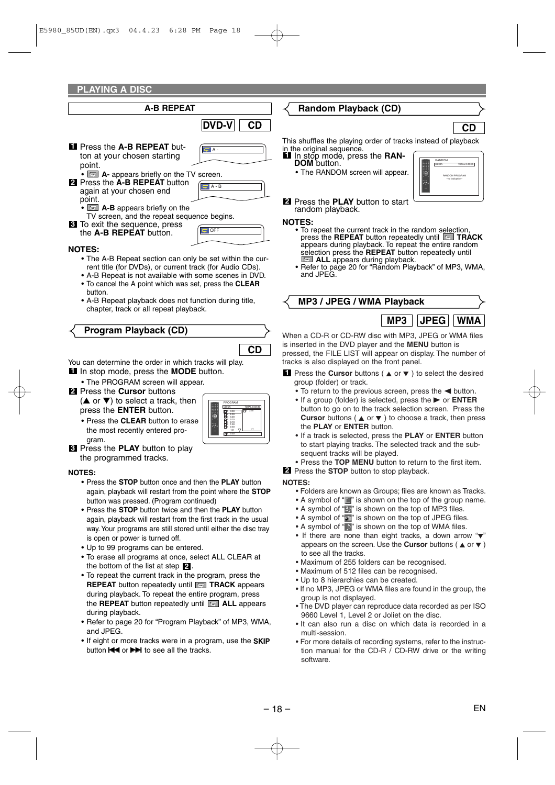**PLAYING A DISC**

| PLAYING A DISC                                                                                                                                                                                                                                                   |                    |                    |
|------------------------------------------------------------------------------------------------------------------------------------------------------------------------------------------------------------------------------------------------------------------|--------------------|--------------------|
| <b>A-B REPEAT</b>                                                                                                                                                                                                                                                |                    |                    |
|                                                                                                                                                                                                                                                                  | <b>DVD-V</b><br>CD |                    |
| <b>Ell</b> Press the A-B REPEAT but-<br>ton at your chosen starting<br>point.                                                                                                                                                                                    | A -                | Thi:<br>in tl<br>1 |
| $\bullet$ $\blacksquare$ A- appears briefly on the TV screen.<br><b>2</b> Press the A-B REPEAT button<br>again at your chosen end<br>point.<br>• <b>E</b> A-B appears briefly on the                                                                             | $A - B$            | $\overline{2}$     |
| TV screen, and the repeat sequence begins.<br><b>8</b> To exit the sequence, press<br>the A-B REPEAT button.                                                                                                                                                     | $\blacksquare$ OFF | NΟ                 |
| <b>NOTES:</b><br>• The A-B Repeat section can only be set within the cur-<br>rent title (for DVDs), or current track (for Audio CDs).<br>• A-B Repeat is not available with some scenes in DVD.<br>• To cancel the A point which was set, press the <b>CLEAR</b> |                    |                    |
| button.<br>• A-B Repeat playback does not function during title,<br>chapter, track or all repeat playback.                                                                                                                                                       |                    |                    |

#### **Program Playback (CD)**

You can determine the order in which tracks will play. **I** In stop mode, press the **MODE** button.

• The PROGRAM screen will appear.

Press the **Cursor** buttons **2**

 $($  $\blacktriangle$  or  $\blacktriangledown$ ) to select a track, then press the **ENTER** button.

• Press the **CLEAR** button to erase the most recently entered program.

| PROGRAM<br>CD-DA             | TOTAL 0:03:30         |
|------------------------------|-----------------------|
| 3:30<br>4:30<br>5:00<br>3:10 | m <sub>1</sub><br>330 |
| 5:10<br>1:30<br>Ę<br>2:30    | 1/1                   |
| 1/2<br>回<br>3:30             |                       |

**CD**

Press the **PLAY** button to play **3** the programmed tracks.

#### **NOTES:**

- Press the **STOP** button once and then the **PLAY** button again, playback will restart from the point where the **STOP** button was pressed. (Program continued)
- Press the **STOP** button twice and then the **PLAY** button again, playback will restart from the first track in the usual way.Your programs are still stored until either the disc tray is open or power is turned off.
- Up to 99 programs can be entered.
- To erase all programs at once, select ALL CLEAR at the bottom of the list at step  $\mathbf{2}$ .
- To repeat the current track in the program, press the **REPEAT** button repeatedly until **TRACK** appears during playback. To repeat the entire program, press the **REPEAT** button repeatedly until **ALL** appears during playback.
- Refer to page 20 for "Program Playback" of MP3, WMA, and JPEG.
- If eight or more tracks were in a program, use the **SKIP** button  $\blacktriangleleft$  or  $\blacktriangleright$  to see all the tracks.

#### **Random Playback (CD)**

## **CD**

CD-DA TOTAL 0:45:55 RANDOM

> RANDOM PROGRAM --no indication--

s shuffles the playing order of tracks instead of playback ne original sequence.

- In stop mode, press the **RAN-DOM** button.
	- The RANDOM screen will appear.

Press the **PLAY** button to start random playback.

#### **NOTES:**

- To repeat the current track in the random selection, press the **REPEAT** button repeatedly until **TRACK** appears during playback. To repeat the entire random selection press the **REPEAT** button repeatedly until **ALL** appears during playback.
- Refer to page 20 for "Random Playback" of MP3, WMA, and JPEG.

**MP3 / JPEG / WMA Playback**

![](_page_17_Picture_28.jpeg)

When a CD-R or CD-RW disc with MP3, JPEG or WMA files is inserted in the DVD player and the **MENU** button is pressed, the FILE LIST will appear on display. The number of tracks is also displayed on the front panel.

**1** Press the **Cursor** buttons (
▲ or ▼ ) to select the desired group (folder) or track.

- $\bullet$  To return to the previous screen, press the  $\blacktriangleleft$  button.
- If a group (folder) is selected, press the  $\triangleright$  or **ENTER** button to go on to the track selection screen. Press the **Cursor** buttons ( $\triangle$  or  $\nabla$ ) to choose a track, then press the **PLAY** or **ENTER** button.
- If a track is selected, press the **PLAY** or **ENTER** button to start playing tracks. The selected track and the subsequent tracks will be played.
- Press the **TOP MENU** button to return to the first item.
- Press the **STOP** button to stop playback. **2**

#### **NOTES:**

- Folders are known as Groups; files are known as Tracks.
- A symbol of " $\Box$ " is shown on the top of the group name.
- A symbol of " $\blacksquare$ " is shown on the top of MP3 files.
- A symbol of "**\*\*\***" is shown on the top of JPEG files.
- A symbol of " $\triangleright$ " is shown on the top of WMA files.
- If there are none than eight tracks, a down arrow " $\nabla$ " appears on the screen. Use the **Cursor** buttons ( $\triangle$  or  $\nabla$ ) to see all the tracks.
- Maximum of 255 folders can be recognised.
- Maximum of 512 files can be recognised.
- Up to 8 hierarchies can be created.
- If no MP3, JPEG or WMA files are found in the group, the group is not displayed.
- The DVD player can reproduce data recorded as per ISO 9660 Level 1, Level 2 or Joliet on the disc.
- It can also run a disc on which data is recorded in a multi-session.
- For more details of recording systems, refer to the instruction manual for the CD-R / CD-RW drive or the writing software.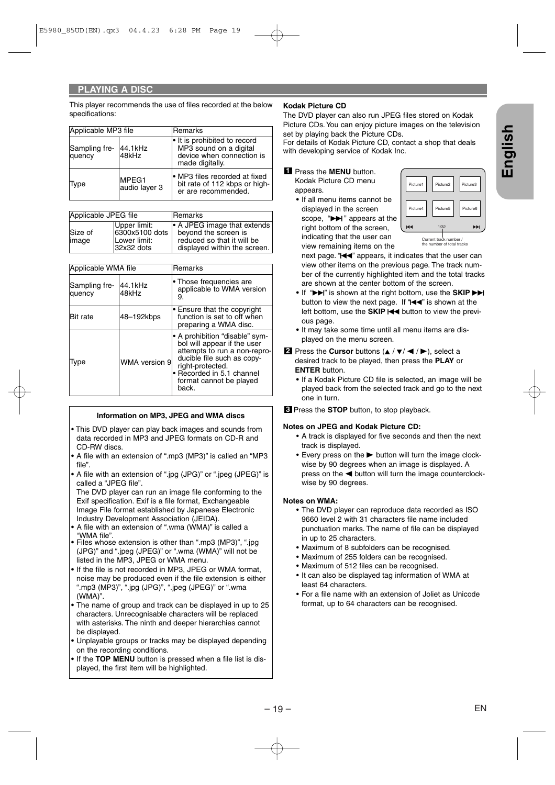This player recommends the use of files recorded at the below specifications:

| Applicable MP3 file     |                        | lRemarks                                                                                             |
|-------------------------|------------------------|------------------------------------------------------------------------------------------------------|
| Sampling fre-<br>quency | 44.1kHz<br>48kHz       | If is prohibited to record<br>MP3 sound on a digital<br>device when connection is<br>made digitally. |
| Type                    | MPEG1<br>audio layer 3 | • MP3 files recorded at fixed<br>bit rate of 112 kbps or high-<br>er are recommended.                |

| Applicable JPEG file |                                                              | <b>IRemarks</b>                                                                                                         |
|----------------------|--------------------------------------------------------------|-------------------------------------------------------------------------------------------------------------------------|
| Size of<br>limage    | Upper limit:<br>6300x5100 dots<br>Lower limit:<br>32x32 dots | $\cdot$ A JPEG image that extends<br>beyond the screen is<br>reduced so that it will be<br>displayed within the screen. |

| Applicable WMA file     |                  | <b>Remarks</b>                                                                                                                                                                                                   |
|-------------------------|------------------|------------------------------------------------------------------------------------------------------------------------------------------------------------------------------------------------------------------|
| Sampling fre-<br>quency | 44.1kHz<br>48kHz | • Those frequencies are<br>applicable to WMA version<br>9.                                                                                                                                                       |
| Bit rate                | 48-192kbps       | Ensure that the copyright<br>function is set to off when<br>preparing a WMA disc.                                                                                                                                |
| Type                    | WMA version 9    | • A prohibition "disable" sym-<br>bol will appear if the user<br>attempts to run a non-repro-<br>ducible file such as copy-<br>right-protected.<br>· Recorded in 5.1 channel<br>format cannot be played<br>back. |

#### **Information on MP3, JPEG and WMA discs**

- This DVD player can play back images and sounds from data recorded in MP3 and JPEG formats on CD-R and CD-RW discs.
- **•** A file with an extension of ".mp3 (MP3)" is called an "MP3 file".
- **•** A file with an extension of ".jpg (JPG)" or ".jpeg (JPEG)" is called a "JPEG file".

The DVD player can run an image file conforming to the Exif specification. Exif is a file format, Exchangeable Image File format established by Japanese Electronic Industry Development Association (JEIDA).

- **•** A file with an extension of ".wma (WMA)" is called a "WMA file".
- **•** Files whose extension is other than ".mp3 (MP3)", ".jpg (JPG)" and ".jpeg (JPEG)" or ".wma (WMA)" will not be listed in the MP3, JPEG or WMA menu.
- **•** If the file is not recorded in MP3, JPEG or WMA format, noise may be produced even if the file extension is either ".mp3 (MP3)", ".jpg (JPG)", ".jpeg (JPEG)" or ".wma (WMA)".
- **•** The name of group and track can be displayed in up to 25 characters. Unrecognisable characters will be replaced with asterisks. The ninth and deeper hierarchies cannot be displayed.
- **•** Unplayable groups or tracks may be displayed depending on the recording conditions.
- **•** If the **TOP MENU** button is pressed when a file list is displayed, the first item will be highlighted.

#### **Kodak Picture CD**

The DVD player can also run JPEG files stored on Kodak Picture CDs. You can enjoy picture images on the television set by playing back the Picture CDs.

For details of Kodak Picture CD, contact a shop that deals with developing service of Kodak Inc.

#### Press the **MENU** button. **1**

Kodak Picture CD menu appears.

**•** If all menu items cannot be displayed in the screen scope, " $\blacktriangleright$ " appears at the right bottom of the screen, indicating that the user can view remaining items on the

| Picture4 | Picture5 | Picture6 |
|----------|----------|----------|
| K⊲       | 1/32     | ÞÞI      |

next page. " $\blacktriangleleft$ " appears, it indicates that the user can view other items on the previous page. The track number of the currently highlighted item and the total tracks are shown at the center bottom of the screen.

- If " $\blacktriangleright$ " is shown at the right bottom, use the **SKIP** button to view the next page. If " $\blacktriangleleft \blacktriangleleft$ " is shown at the left bottom, use the **SKIP**  $\blacktriangleleft$  button to view the previous page.
- **•** It may take some time until all menu items are displayed on the menu screen.
- **2** Press the **Cursor** buttons  $($ desired track to be played, then press the **PLAY** or **ENTER** button.
	- **•** If a Kodak Picture CD file is selected, an image will be played back from the selected track and go to the next one in turn.

Press the **STOP** button, to stop playback. **3**

#### **Notes on JPEG and Kodak Picture CD:**

- A track is displayed for five seconds and then the next track is displayed.
- $\bullet$  Every press on the  $\blacktriangleright$  button will turn the image clockwise by 90 degrees when an image is displayed. A press on the  $\blacktriangleleft$  button will turn the image counterclockwise by 90 degrees.

#### **Notes on WMA:**

- The DVD player can reproduce data recorded as ISO 9660 level 2 with 31 characters file name included punctuation marks. The name of file can be displayed in up to 25 characters.
- Maximum of 8 subfolders can be recognised.
- Maximum of 255 folders can be recognised.
- Maximum of 512 files can be recognised.
- It can also be displayed tag information of WMA at least 64 characters.
- For a file name with an extension of Joliet as Unicode format, up to 64 characters can be recognised.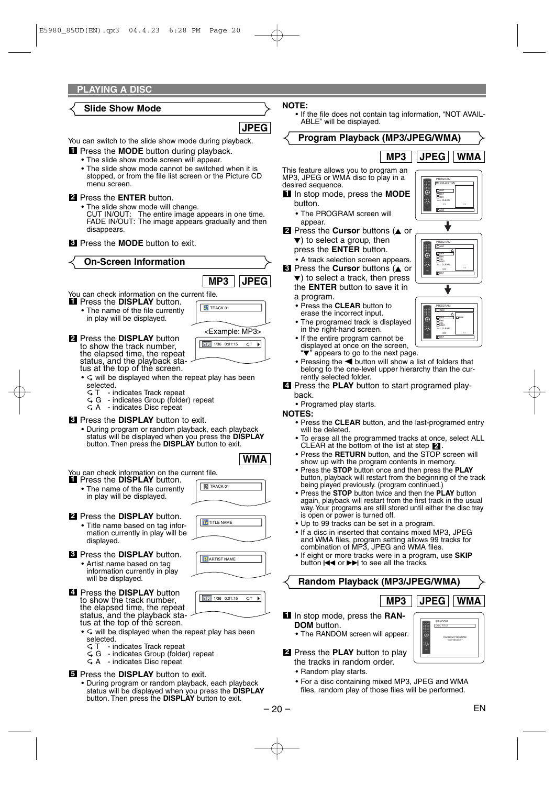#### **Slide Show Mode**

**JPEG**

You can switch to the slide show mode during playback.

- **I** Press the **MODE** button during playback.
- The slide show mode screen will appear.
	- The slide show mode cannot be switched when it is stopped, or from the file list screen or the Picture CD menu screen.

#### Press the **ENTER** button. **2**

- The slide show mode will change. CUT IN/OUT: The entire image appears in one time. FADE IN/OUT: The image appears gradually and then disappears.
- **3** Press the **MODE** button to exit.

**On-Screen Information**

You can check information on the current file. Press the **DISPLAY** button. **1 MP3 JPEG BI** TRACK 01

• The name of the file currently in play will be displayed.

![](_page_19_Figure_13.jpeg)

- <Example: MP3> Press the **DISPLAY** button **2** to show the track number, the elapsed time, the repeat status, and the playback status at the top of the screen.
	- $\bullet$   $\subset$  will be displayed when the repeat play has been selected.<br>ST-in
		- $\begin{array}{cc} \subset \mathsf{T} & \text{ indicates Track repeat} \\ \subset \mathsf{G} & \text{indicates Group (folde)} \end{array}$
		- indicates Group (folder) repeat
	- $G$  A indicates Disc repeat

#### Press the **DISPLAY** button to exit. **3**

• During program or random playback, each playback status will be displayed when you press the **DISPLAY** button. Then press the **DISPLAY** button to exit.

![](_page_19_Picture_21.jpeg)

**TRACK 01** 

**T**<sub>t</sub> TITLE NAME

ARTIST NAME

 $T = 1/36$  0:01:15  $C, T$ 

You can check information on the current file. Press the **DISPLAY** button. **1**

- The name of the file currently in play will be displayed.
- Press the **DISPLAY** button. **2**
	- Title name based on tag information currently in play will be displayed.
- Press the **DISPLAY** button. **3**
	- Artist name based on tag information currently in play will be displayed.
- Press the **DISPLAY** button **4** to show the track number, the elapsed time, the repeat status, and the playback status at the top of the screen.
	- $\bullet$   $\subset$  will be displayed when the repeat play has been selected.
		- T indicates Track repeat
		- G indicates Group (folder) repeat
	- $G$  A indicates Disc repeat

#### **5** Press the DISPLAY button to exit.

• During program or random playback, each playback status will be displayed when you press the **DISPLAY** button. Then press the **DISPLAY** button to exit.

- **NOTE:**
	- If the file does not contain tag information, "NOT AVAIL-ABLE" will be displayed.

![](_page_19_Figure_37.jpeg)

- Press the **STOP** button once and then press the **PLAY** button, playback will restart from the beginning of the track being played previously. (program continued.)
- Press the **STOP** button twice and then the **PLAY** button again, playback will restart from the first track in the usual way. Your programs are still stored until either the disc tray is open or power is turned off.
- Up to 99 tracks can be set in a program.
- If a disc in inserted that contains mixed MP3, JPEG and WMA files, program setting allows 99 tracks for combination of MP3, JPEG and WMA files.
- If eight or more tracks were in a program, use **SKIP** button  $H \rightarrow \infty$  or  $H \rightarrow \infty$  to see all the tracks.

#### **Random Playback (MP3/JPEG/WMA)**

**MP3 JPEG WMA**

DISC TITLE RANDOM

> RANDOM PROGRAM --no indication--

- **I** In stop mode, press the RAN-**DOM** button.
	- The RANDOM screen will appear.

#### Press the **PLAY** button to play **2** the tracks in random order.

- Random play starts.
- For a disc containing mixed MP3, JPEG and WMA files, random play of those files will be performed.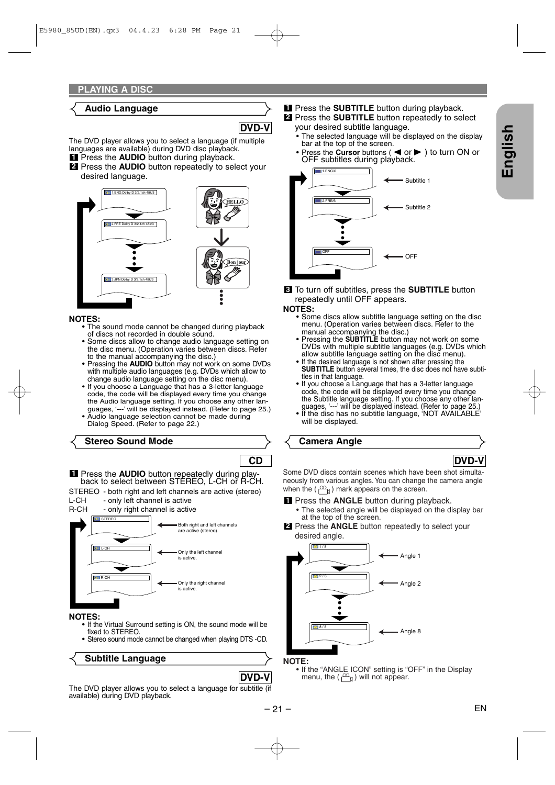#### **Audio Language**

**DVD-V**

The DVD player allows you to select a language (if multiple languages are available) during DVD disc playback.

**1** Press the **AUDIO** button during playback. Press the **AUDIO** button repeatedly to select your **2**

desired language.

![](_page_20_Figure_6.jpeg)

- **NOTES:** The sound mode cannot be changed during playback of discs not recorded in double sound.
	- Some discs allow to change audio language setting on the disc menu. (Operation varies between discs. Refer to the manual accompanying the disc.)
	- Pressing the **AUDIO** button may not work on some DVDs with multiple audio languages (e.g. DVDs which allow to change audio language setting on the disc menu).
	- If you choose a Language that has a 3-letter language code, the code will be displayed every time you change the Audio language setting. If you choose any other languages, '---' will be displayed instead. (Refer to page 25.)
	- Audio language selection cannot be made during Dialog Speed. (Refer to page 22.)

#### **Stereo Sound Mode**

![](_page_20_Picture_14.jpeg)

STEREO - both right and left channels are active (stereo)<br>L-CH - only left channel is active

L-CH - only left channel is active<br>R-CH - only right channel is active - only right channel is active

![](_page_20_Figure_17.jpeg)

- **NOTES:** If the Virtual Surround setting is ON, the sound mode will be fixed to STEREO.
	- Stereo sound mode cannot be changed when playing DTS -CD.

**Subtitle Language**

**1** Press the **SUBTITLE** button during playback. 2 Press the **SUBTITLE** button repeatedly to select

- your desired subtitle language.
- The selected language will be displayed on the display bar at the top of the screen.
- Press the **Cursor** buttons (  $\blacktriangleleft$  or  $\blacktriangleright$  ) to turn ON or OFF subtitles during playback.

![](_page_20_Figure_26.jpeg)

To turn off subtitles, press the **SUBTITLE** button **3** repeatedly until OFF appears.

- **NOTES:** Some discs allow subtitle language setting on the disc menu. (Operation varies between discs. Refer to the manual accompanying the disc.)
	- Pressing the **SUBTITLE** button may not work on some DVDs with multiple subtitle languages (e.g. DVDs which allow subtitle language setting on the disc menu).
	- If the desired language is not shown after pressing the **SUBTITLE** button several times, the disc does not have subtitles in that language.
	- If you choose a Language that has a 3-letter language code, the code will be displayed every time you change the Subtitle language setting. If you choose any other lan-
	- guages, '---' will be displayed instead. (Refer to page 25.) If the disc has no subtitle language, 'NOT AVAILABLE' will be displayed.

**Camera Angle**

**DVD-V**

Some DVD discs contain scenes which have been shot simultaneously from various angles. You can change the camera angle when the  $(\frac{\infty}{n})$  mark appears on the screen.

**1** Press the **ANGLE** button during playback.

• The selected angle will be displayed on the display bar at the top of the screen.

Press the **ANGLE** button repeatedly to select your **2** desired angle.

![](_page_20_Figure_40.jpeg)

**NOTE:** • If the "ANGLE ICON" setting is "OFF" in the Display menu, the  $(\begin{matrix} m_1 \\ m_2 \end{matrix})$  will not appear.

The DVD player allows you to select a language for subtitle (if available) during DVD playback.

**DVD-V**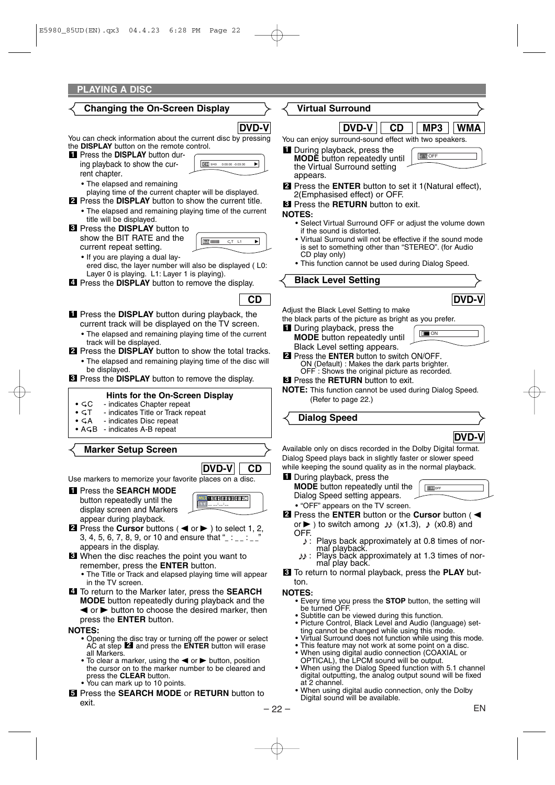#### **Changing the On-Screen Display**

## **DVD-V**

You can check information about the current disc by pressing the **DISPLAY** button on the remote control.

Press the **DISPLAY** button dur-**1** ing playback to show the current chapter.

- The elapsed and remaining
- playing time of the current chapter will be displayed.
- 2 Press the DISPLAY button to show the current title. • The elapsed and remaining playing time of the current
- title will be displayed. Press the **DISPLAY** button to **3** show the BIT RATE and the current repeat setting.

![](_page_21_Picture_9.jpeg)

**CD**

**CH** 9/49

- If you are playing a dual lay
	- ered disc, the layer number will also be displayed ( L0: Layer 0 is playing. L1: Layer 1 is playing).
- **4** Press the **DISPLAY** button to remove the display.
- **I** Press the DISPLAY button during playback, the current track will be displayed on the TV screen.
	- The elapsed and remaining playing time of the current track will be displayed.
- 2 Press the DISPLAY button to show the total tracks.
	- The elapsed and remaining playing time of the disc will be displayed.
- **3** Press the **DISPLAY** button to remove the display.

#### **Hints for the On-Screen Display**

- GC indicates Chapter repeat<br>• GT indicates Title or Track re
- **•** GT indicates Title or Track repeat<br>• GA indicates Disc repeat
- **•** indicates Disc repeat
- AGB indicates A-B repeat

#### **Marker Setup Screen**

![](_page_21_Picture_24.jpeg)

Use markers to memorize your favorite places on a disc.

Press the **SEARCH MODE 1** button repeatedly until the display screen and Markers appear during playback.

![](_page_21_Figure_27.jpeg)

- **2** Press the **Cursor** buttons ( $\blacktriangleleft$  or  $\blacktriangleright$ ) to select 1, 2, 3, 4, 5, 6, 7, 8, 9, or 10 and ensure that " $\therefore$ appears in the display.
- When the disc reaches the point you want to **3** remember, press the **ENTER** button.
	- The Title or Track and elapsed playing time will appear in the TV screen.
- To return to the Marker later, press the **SEARCH 4 MODE** button repeatedly during playback and the  $\blacktriangleleft$  or  $\blacktriangleright$  button to choose the desired marker, then press the **ENTER** button.

- **NOTES:** Opening the disc tray or turning off the power or select  $AC$  at step  $2$  and press the  $ENTER$  button will erase all Markers.
	- To clear a marker, using the  $\blacktriangleleft$  or  $\blacktriangleright$  button, position the cursor on to the marker number to be cleared and press the **CLEAR** button.
	- You can mark up to 10 points.
- Press the **SEARCH MODE** or **RETURN** button to **5** exit.

#### **Virtual Surround**

![](_page_21_Picture_38.jpeg)

**ত'%** OFF

You can enjoy surround-sound effect with two speakers.

- **1** During playback, press the **MODE** button repeatedly until the Virtual Surround setting appears.
- Press the **ENTER** button to set it 1(Natural effect), **2** 2(Emphasised effect) or OFF.
- Press the **RETURN** button to exit. **3**

#### **NOTES:**

- Select Virtual Surround OFF or adjust the volume down if the sound is distorted.
- Virtual Surround will not be effective if the sound mode is set to something other than "STEREO". (for Audio CD play only)
- This function cannot be used during Dialog Speed.

#### **Black Level Setting**

![](_page_21_Picture_48.jpeg)

Adjust the Black Level Setting to make the black parts of the picture as bright as you prefer.

- 
- **1** During playback, press the **MODE** button repeatedly until Black Level setting appears. **ID** ON
- ON (Default) : Makes the dark parts brighter. OFF : Shows the original picture as recorded. **2** Press the **ENTER** button to switch ON/OFF.
- Press the **RETURN** button to exit. **3**
- **NOTE:** This function cannot be used during Dialog Speed. (Refer to page 22.)

**Dialog Speed**

![](_page_21_Picture_56.jpeg)

**DEL** OFF

Available only on discs recorded in the Dolby Digital format. Dialog Speed plays back in slightly faster or slower speed while keeping the sound quality as in the normal playback.

#### **1** During playback, press the

**MODE** button repeatedly until the Dialog Speed setting appears.

• "OFF" appears on the TV screen.

- **2** Press the **ENTER** button or the **Cursor** button (< or  $\blacktriangleright$  ) to switch among  $\blacktriangleright$  (x1.3),  $\blacktriangleright$  (x0.8) and
	- OFF.<br>.
		- : Plays back approximately at 0.8 times of normal playback.
		- : دلال: Plays back approximately at 1.3 times of normal play back.

To return to normal playback, press the **PLAY** but-**3** ton.

#### **NOTES:**

- Every time you press the **STOP** button, the setting will be turned OFF.
- Subtitle can be viewed during this function.
- Picture Control, Black Level and Audio (language) setting cannot be changed while using this mode.
- Virtual Surround does not function while using this mode.
- This feature may not work at some point on a disc.<br>• When using digital audio connection (COAXIAL or When using digital audio connection (COAXIAL or
- OPTICAL), the LPCM sound will be output.
- When using the Dialog Speed function with 5.1 channel digital outputting, the analog output sound will be fixed at 2 channel.
- When using digital audio connection, only the Dolby Digital sound will be available.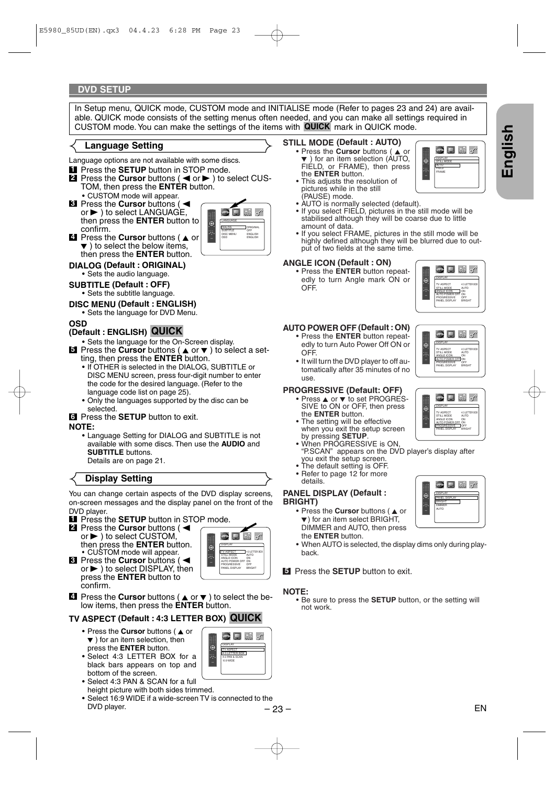#### **DVD SETUP**

In Setup menu, QUICK mode, CUSTOM mode and INITIALISE mode (Refer to pages 23 and 24) are available. QUICK mode consists of the setting menus often needed, and you can make all settings required in CUSTOM mode. You can make the settings of the items with **QUICK** mark in QUICK mode.

#### **Language Setting**

- Language options are not available with some discs.
- **1** Press the **SETUP** button in STOP mode.
- **2** Press the **Cursor** buttons (< or > to select CUS-TOM, then press the **ENTER** button. • CUSTOM mode will appear.
- **8** Press the **Cursor** buttons (<  $or \blacktriangleright$  ) to select LANGUAGE, then press the **ENTER** button to confirm.

![](_page_22_Picture_7.jpeg)

- **4** Press the **Cursor** buttons ( $\triangle$  or  $\blacktriangledown$  ) to select the below items, then press the **ENTER** button.
- **DIALOG (Default : ORIGINAL)** • Sets the audio language.

#### **SUBTITLE (Default : OFF)** • Sets the subtitle language.

- **DISC MENU (Default : ENGLISH)**
- Sets the language for DVD Menu.

#### **OSD**

#### **(Default : ENGLISH) QUICK**

- Sets the language for the On-Screen display.
- $\overline{5}$  Press the **Cursor** buttons ( $\triangle$  or  $\overline{v}$ ) to select a setting, then press the **ENTER** button.
	- If OTHER is selected in the DIALOG, SUBTITLE or DISC MENU screen, press four-digit number to enter the code for the desired language. (Refer to the language code list on page 25).
	- Only the languages supported by the disc can be selected.

#### Press the **SETUP** button to exit. **6**

#### **NOTE:**

• Language Setting for DIALOG and SUBTITLE is not available with some discs. Then use the **AUDIO** and **SUBTITLE** buttons. Details are on page 21.

#### **Display Setting**

You can change certain aspects of the DVD display screens, on-screen messages and the display panel on the front of the DVD player.

- Press the **SETUP** button in STOP mode. **1**
- **2** Press the **Cursor** buttons (< or  $\blacktriangleright$  ) to select CUSTOM, then press the **ENTER** button. • CUSTOM mode will appear.

| <b>DISPLAY</b>                                                                                                            |
|---------------------------------------------------------------------------------------------------------------------------|
| 4:3 LETTER BOX<br><b>TV ASPECT</b><br>ALITO<br>STILL MODE<br>ANGLE ICON<br>ON<br>ALITO POWER OFF ON<br>PROGRESSIVE<br>OFF |
| PANEL DISPLAY RRIGHT                                                                                                      |

DISPLAY TV ASPECT 4:3 LETTER BOX 4:3 PAN & SCAN 16:9 WIDE

 $\bullet$  Deformation

 $\blacksquare$  Press the **Cursor** buttons ( $\blacktriangleleft$ or $\blacktriangleright$  ) to select DISPLAY, then press the **ENTER** button to confirm.

![](_page_22_Picture_28.jpeg)

## **TV ASPECT (Default : 4:3 LETTER BOX) QUICK**

- Press the **Cursor** buttons (A or  $\blacktriangledown$  ) for an item selection, then press the **ENTER** button.
- Select 4:3 LETTER BOX for a black bars appears on top and bottom of the screen.
- Select 4:3 PAN & SCAN for a full height picture with both sides trimmed.
- Select 16:9 WIDE if a wide-screen TV is connected to the DVD player.

#### **STILL MODE (Default : AUTO)**

- Press the **Cursor** buttons ( $\triangle$  or  $\blacktriangledown$  ) for an item selection (AUTO, FIELD, or FRAME), then press the **ENTER** button.
- This adjusts the resolution of pictures while in the still (PAUSE) mode.
- AUTO is normally selected (default).
- If you select FIELD, pictures in the still mode will be stabilised although they will be coarse due to little amount of data.
- If you select FRAME, pictures in the still mode will be highly defined although they will be blurred due to output of two fields at the same time.

#### **ANGLE ICON (Default : ON)**

• Press the **ENTER** button repeatedly to turn Angle mark ON or OFF.

![](_page_22_Picture_42.jpeg)

 $\Box$  the  $\sigma^*$ 

DISPLAY TV ASPECT 4:3 LETTER BOX STILL MODE AUTO ANGLE ICON \_\_\_\_\_\_ ON AUTO POWER OFF ON PROGRESSIVE OFF PANEL DISPLAY BRIGHT

G

#### **AUTO POWER OFF (Default : ON)**

- Press the **ENTER** button repeatedly to turn Auto Power Off ON or OFF.
- It will turn the DVD player to off automatically after 35 minutes of no use.

#### **PROGRESSIVE (Default: OFF)**

- $\bullet$  Press  $\triangle$  or  $\blacktriangledown$  to set PROGRES-SIVE to ON or OFF, then press the **ENTER** button.
- The setting will be effective when you exit the setup screen by pressing **SETUP**.
- When PROGRESSIVE is ON, "P.SCAN" appears on the DVD player's display after you exit the setup screen.
- The default setting is OFF.
- Refer to page 12 for more details.

#### **PANEL DISPLAY (Default : BRIGHT)**

- Press the **Cursor** buttons ( $\triangle$  or  $\blacktriangledown$ ) for an item select BRIGHT, DIMMER and AUTO, then press the **ENTER** button.
- When AUTO is selected, the display dims only during playback.

**5** Press the **SETUP** button to exit.

**NOTE:** • Be sure to press the **SETUP** button, or the setting will not work.

![](_page_22_Picture_58.jpeg)

![](_page_22_Picture_59.jpeg)

![](_page_22_Picture_62.jpeg)

**English**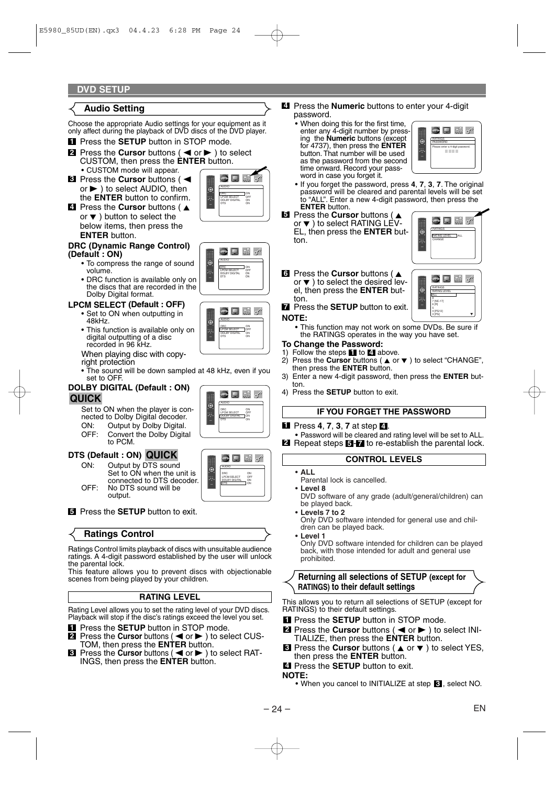#### **DVD SETUP**

#### **Audio Setting**

Choose the appropriate Audio settings for your equipment as it only affect during the playback of DVD discs of the DVD player.

- **1** Press the **SETUP** button in STOP mode.
- **2** Press the **Cursor** buttons (< or > ) to select CUSTOM, then press the **ENTER** button. • CUSTOM mode will appear.
- **8** Press the **Cursor** buttons (< or $\blacktriangleright$  ) to select AUDIO, then the **ENTER** button to confirm.

![](_page_23_Figure_6.jpeg)

 $\square$   $\mathbb{R}$  of

 $\bullet$  Defor

**4** Press the **Cursor** buttons ( $\triangle$ or  $\blacktriangledown$  ) button to select the below items, then press the **ENTER** button.

#### **DRC (Dynamic Range Control) (Default : ON)**

- To compress the range of sound volume.
- DRC function is available only on the discs that are recorded in the Dolby Digital format.

#### **LPCM SELECT (Default : OFF)**

- Set to ON when outputting in 48kHz.
- This function is available only on digital outputting of a disc recorded in 96 kHz.

When playing disc with copyright protection

• The sound will be down sampled at 48 kHz, even if you set to OFF.

#### **DOLBY DIGITAL (Default : ON) QUICK**

Set to ON when the player is connected to Dolby Digital decoder.<br>ON: Output by Dolby Digital.

- ON: Output by Dolby Digital.<br>OFF: Convert the Dolby Digital.
- Convert the Dolby Digital to PCM.

#### **DTS (Default : ON) QUICK**

ON: Output by DTS sound Set to ON when the unit is connected to DTS decoder. OFF: No DTS sound will be output.

![](_page_23_Picture_22.jpeg)

ON<br>OFF LPCM SELECT OFF DOLBY DIGITAL | ON DTS ON

 $\bullet$   $\Box$   $\circ$ 

AUDIO

AUDIO

AUDIO DRC ON LPCM SELECT OFF DOLBY DIGITAL ON DTS ON

#### **5** Press the **SETUP** button to exit.

#### **Ratings Control**

Ratings Control limits playback of discs with unsuitable audience ratings. A 4-digit password established by the user will unlock the parental lock.

This feature allows you to prevent discs with objectionable scenes from being played by your children.

#### **RATING LEVEL**

Rating Level allows you to set the rating level of your DVD discs. Playback will stop if the disc's ratings exceed the level you set.

- Press the **SETUP** button in STOP mode. **1**
- Press the **Cursor** buttons (<a> or</a> >>>> to select CUS-TOM, then press the **ENTER** button. **2**
- $\blacksquare$  Press the **Cursor** buttons ( $\blacktriangleleft$  or  $\blacktriangleright$ ) to select RAT-INGS, then press the **ENTER** button.

#### Press the **Numeric** buttons to enter your 4-digit **4** password.

• When doing this for the first time, enter any 4-digit number by pressing the **Numeric** buttons (except for 4737), then press the **ENTER** button. That number will be used as the password from the second time onward. Record your password in case you forget it.

![](_page_23_Picture_34.jpeg)

- If you forget the password, press **4**, **7**, **3**, **7**. The original password will be cleared and parental levels will be set to "ALL". Enter a new 4-digit password, then press the **ENTER** button.
- **E** Press the **Cursor** buttons ( $\triangle$

or  $\blacktriangledown$  ) to select RATING LEV-EL, then press the **ENTER** button.

![](_page_23_Picture_38.jpeg)

 $\blacksquare$ 

RATINGS RATING LEVEL ALL 8 7 [NC-17] 6 [R] 5 4 [PG13]  $3 \overline{[P \text{G}]}$   $\qquad \qquad \blacktriangledown$ 

#### **6** Press the **Cursor** buttons ( $\triangle$ or  $\blacktriangledown$  ) to select the desired level, then press the **ENTER** button.

Press the **SETUP** button to exit. **7**

#### **NOTE:**

• This function may not work on some DVDs. Be sure if the RATINGS operates in the way you have set.

#### **To Change the Password:**

- 1) Follow the steps  $\blacksquare$  to  $\blacksquare$  above.
- 2) Press the **Cursor** buttons ( $\triangle$  or  $\blacktriangledown$ ) to select "CHANGE", then press the **ENTER** button.
- 3) Enter a new 4-digit password, then press the **ENTER** button.
- 4) Press the **SETUP** button to exit.

#### **IF YOU FORGET THE PASSWORD**

**1** Press **4**, **7**, **3**, **7** at step **4 1** 

• Password will be cleared and rating level will be set to ALL. **2** Repeat steps **5 7** to re-establish the parental lock.

#### **CONTROL LEVELS**

- **ALL**
	- Parental lock is cancelled. • **Level 8**
		- DVD software of any grade (adult/general/children) can be played back.
	- **Levels 7 to 2** Only DVD software intended for general use and children can be played back.
- **Level 1**

Only DVD software intended for children can be played back, with those intended for adult and general use prohibited.

**Returning all selections of SETUP (except for RATINGS) to their default settings**

This allows you to return all selections of SETUP (except for RATINGS) to their default settings.

- **1** Press the **SETUP** button in STOP mode.
- **2** Press the **Cursor** buttons ( < or  $\blacktriangleright$  ) to select INI-TIALIZE, then press the **ENTER** button.
- **8** Press the **Cursor** buttons (▲ or ▼) to select YES, then press the **ENTER** button.
- Press the **SETUP** button to exit. **4**
- 

![](_page_23_Picture_68.jpeg)

**NOTE:** • When you cancel to INITIALIZE at step **8**, select NO.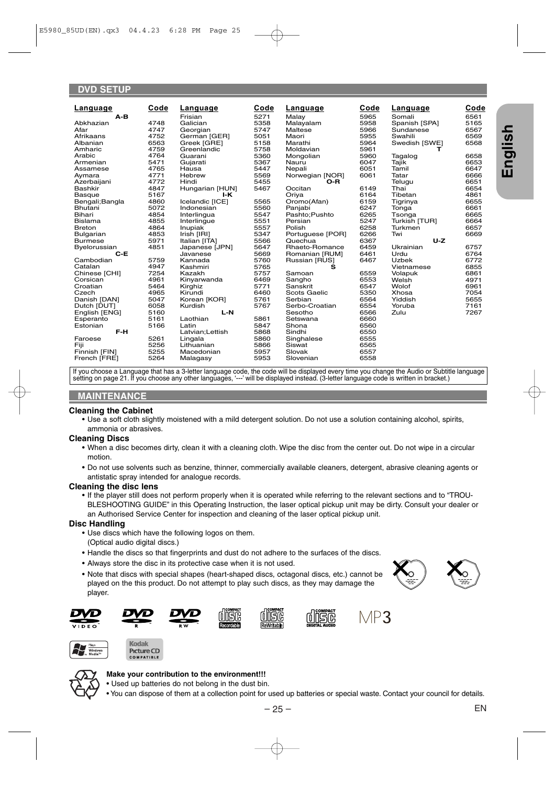#### **DVD SETUP**

| Language        | Code | Language        | Code | Language            | Code | Language      | Code |
|-----------------|------|-----------------|------|---------------------|------|---------------|------|
| $A-B$           |      | Frisian         | 5271 | Malay               | 5965 | Somali        | 6561 |
| Abkhazian       | 4748 | Galician        | 5358 | Malayalam           | 5958 | Spanish [SPA] | 5165 |
| Afar            | 4747 | Georgian        | 5747 | Maltese             | 5966 | Sundanese     | 6567 |
| Afrikaans       | 4752 | German [GER]    | 5051 | Maori               | 5955 | Swahili       | 6569 |
| Albanian        | 6563 | Greek [GRE]     | 5158 | Marathi             | 5964 | Swedish [SWE] | 6568 |
| Amharic         | 4759 | Greenlandic     | 5758 | Moldavian           | 5961 | т             |      |
| Arabic          | 4764 | Guarani         | 5360 | Mongolian           | 5960 | Tagalog       | 6658 |
| Armenian        | 5471 | Gujarati        | 5367 | Nauru               | 6047 | Tajik         | 6653 |
| Assamese        | 4765 | Hausa           | 5447 | Nepali              | 6051 | Tamil         | 6647 |
| Aymara          | 4771 | Hebrew          | 5569 | Norwegian [NOR]     | 6061 | Tatar         | 6666 |
| Azerbaijani     | 4772 | Hindi           | 5455 | O-R                 |      | Telugu        | 6651 |
| Bashkir         | 4847 | Hungarian [HUN] | 5467 | Occitan             | 6149 | Thai          | 6654 |
| <b>Basque</b>   | 5167 | I-K             |      | Oriya               | 6164 | Tibetan       | 4861 |
| Bengali; Bangla | 4860 | Icelandic [ICE] | 5565 | Oromo(Afan)         | 6159 | Tigrinya      | 6655 |
| Bhutani         | 5072 | Indonesian      | 5560 | Panjabi             | 6247 | Tonga         | 6661 |
| Bihari          | 4854 | Interlingua     | 5547 | Pashto; Pushto      | 6265 | Tsonga        | 6665 |
| <b>Bislama</b>  | 4855 | Interlingue     | 5551 | Persian             | 5247 | Turkish [TUR] | 6664 |
| <b>Breton</b>   | 4864 | Inupiak         | 5557 | Polish              | 6258 | Turkmen       | 6657 |
| Bulgarian       | 4853 | Irish [IRI]     | 5347 | Portuguese [POR]    | 6266 | Twi           | 6669 |
| <b>Burmese</b>  | 5971 | Italian [ITA]   | 5566 | Quechua             | 6367 | $U-Z$         |      |
| Byelorussian    | 4851 | Japanese [JPN]  | 5647 | Rhaeto-Romance      | 6459 | Ukrainian     | 6757 |
| $C-E$           |      | Javanese        | 5669 | Romanian [RUM]      | 6461 | Urdu          | 6764 |
| Cambodian       | 5759 | Kannada         | 5760 | Russian [RUS]       | 6467 | <b>Uzbek</b>  | 6772 |
| Catalan         | 4947 | Kashmiri        | 5765 | s                   |      | Vietnamese    | 6855 |
| Chinese [CHI]   | 7254 | Kazakh          | 5757 | Samoan              | 6559 | Volapuk       | 6861 |
| Corsican        | 4961 | Kinyarwanda     | 6469 | Sangho              | 6553 | Welsh         | 4971 |
| Croatian        | 5464 | Kirghiz         | 5771 | Sanskrit            | 6547 | Wolof         | 6961 |
| Czech           | 4965 | Kirundi         | 6460 | <b>Scots Gaelic</b> | 5350 | Xhosa         | 7054 |
| Danish [DAN]    | 5047 | Korean [KOR]    | 5761 | Serbian             | 6564 | Yiddish       | 5655 |
| Dutch [DUT]     | 6058 | Kurdish         | 5767 | Serbo-Croatian      | 6554 | Yoruba        | 7161 |
| English [ENG]   | 5160 | $L-N$           |      | Sesotho             | 6566 | Zulu          | 7267 |
| Esperanto       | 5161 | Laothian        | 5861 | Setswana            | 6660 |               |      |
| Estonian        | 5166 | Latin           | 5847 | Shona               | 6560 |               |      |
| F-H             |      | Latvian;Lettish | 5868 | Sindhi              | 6550 |               |      |
| Faroese         | 5261 | Lingala         | 5860 | Singhalese          | 6555 |               |      |
| Fiji            | 5256 | Lithuanian      | 5866 | Siswat              | 6565 |               |      |
| Finnish [FIN]   | 5255 | Macedonian      | 5957 | Slovak              | 6557 |               |      |
| French [FRE]    | 5264 | Malagasy        | 5953 | Slovenian           | 6558 |               |      |
|                 |      |                 |      |                     |      |               |      |

If you choose a Language that has a 3-letter language code, the code will be displayed every time you change the Audio or Subtitle language setting on page 21. If you choose any other languages, '---' will be displayed instead. (3-letter language code is written in bracket.)

#### **MAINTENANCE**

#### **Cleaning the Cabinet**

• Use a soft cloth slightly moistened with a mild detergent solution. Do not use a solution containing alcohol, spirits, ammonia or abrasives.

#### **Cleaning Discs**

- When a disc becomes dirty, clean it with a cleaning cloth. Wipe the disc from the center out. Do not wipe in a circular motion.
- Do not use solvents such as benzine, thinner, commercially available cleaners, detergent, abrasive cleaning agents or antistatic spray intended for analogue records.

#### **Cleaning the disc lens**

• If the player still does not perform properly when it is operated while referring to the relevant sections and to "TROU-BLESHOOTING GUIDE" in this Operating Instruction, the laser optical pickup unit may be dirty. Consult your dealer or an Authorised Service Center for inspection and cleaning of the laser optical pickup unit.

#### **Disc Handling**

- Use discs which have the following logos on them.
- (Optical audio digital discs.)
- Handle the discs so that fingerprints and dust do not adhere to the surfaces of the discs.
- Always store the disc in its protective case when it is not used.
- Note that discs with special shapes (heart-shaped discs, octagonal discs, etc.) cannot be played on the this product. Do not attempt to play such discs, as they may damage the player.

![](_page_24_Picture_17.jpeg)

![](_page_24_Picture_18.jpeg)

![](_page_24_Picture_19.jpeg)

![](_page_24_Picture_20.jpeg)

![](_page_24_Picture_21.jpeg)

![](_page_24_Picture_22.jpeg)

![](_page_24_Picture_23.jpeg)

![](_page_24_Picture_24.jpeg)

![](_page_24_Picture_25.jpeg)

![](_page_24_Picture_26.jpeg)

#### **Make your contribution to the environment!!!**

- Used up batteries do not belong in the dust bin.
- You can dispose of them at a collection point for used up batteries or special waste. Contact your council for details.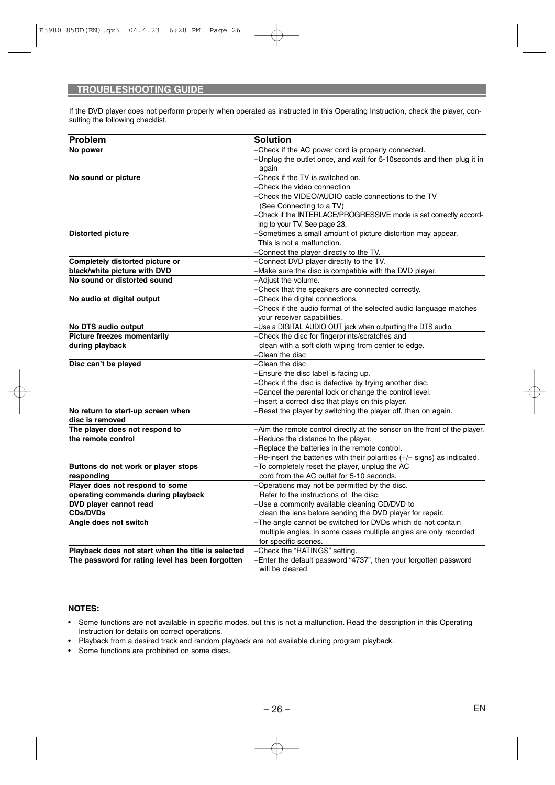If the DVD player does not perform properly when operated as instructed in this Operating Instruction, check the player, consulting the following checklist.

| Problem                                            | <b>Solution</b>                                                                                 |
|----------------------------------------------------|-------------------------------------------------------------------------------------------------|
| No power                                           | -Check if the AC power cord is properly connected.                                              |
|                                                    | -Unplug the outlet once, and wait for 5-10 seconds and then plug it in                          |
|                                                    | again                                                                                           |
| No sound or picture                                | -Check if the TV is switched on.                                                                |
|                                                    | -Check the video connection                                                                     |
|                                                    | -Check the VIDEO/AUDIO cable connections to the TV                                              |
|                                                    | (See Connecting to a TV)                                                                        |
|                                                    | -Check if the INTERLACE/PROGRESSIVE mode is set correctly accord-                               |
|                                                    | ing to your TV. See page 23.                                                                    |
| <b>Distorted picture</b>                           | -Sometimes a small amount of picture distortion may appear.                                     |
|                                                    | This is not a malfunction.                                                                      |
|                                                    | -Connect the player directly to the TV.                                                         |
| Completely distorted picture or                    | -Connect DVD player directly to the TV.                                                         |
| black/white picture with DVD                       | -Make sure the disc is compatible with the DVD player.                                          |
| No sound or distorted sound                        | -Adiust the volume.                                                                             |
|                                                    | -Check that the speakers are connected correctly.                                               |
| No audio at digital output                         | -Check the digital connections.                                                                 |
|                                                    | -Check if the audio format of the selected audio language matches                               |
|                                                    | your receiver capabilities.                                                                     |
| No DTS audio output                                | -Use a DIGITAL AUDIO OUT jack when outputting the DTS audio.                                    |
| <b>Picture freezes momentarily</b>                 | -Check the disc for fingerprints/scratches and                                                  |
| during playback                                    | clean with a soft cloth wiping from center to edge.                                             |
|                                                    | -Clean the disc<br>-Clean the disc                                                              |
| Disc can't be played                               |                                                                                                 |
|                                                    | -Ensure the disc label is facing up.<br>-Check if the disc is defective by trying another disc. |
|                                                    | -Cancel the parental lock or change the control level.                                          |
|                                                    | -Insert a correct disc that plays on this player.                                               |
| No return to start-up screen when                  | -Reset the player by switching the player off, then on again.                                   |
| disc is removed                                    |                                                                                                 |
| The player does not respond to                     | -Aim the remote control directly at the sensor on the front of the player.                      |
| the remote control                                 | -Reduce the distance to the player.                                                             |
|                                                    | -Replace the batteries in the remote control.                                                   |
|                                                    | -Re-insert the batteries with their polarities $(+/-$ signs) as indicated.                      |
| Buttons do not work or player stops                | -To completely reset the player, unplug the AC                                                  |
| responding                                         | cord from the AC outlet for 5-10 seconds.                                                       |
| Player does not respond to some                    | -Operations may not be permitted by the disc.                                                   |
| operating commands during playback                 | Refer to the instructions of the disc.                                                          |
| DVD player cannot read                             | -Use a commonly available cleaning CD/DVD to                                                    |
| <b>CDs/DVDs</b>                                    | clean the lens before sending the DVD player for repair.                                        |
| Angle does not switch                              | -The angle cannot be switched for DVDs which do not contain                                     |
|                                                    | multiple angles. In some cases multiple angles are only recorded                                |
|                                                    | for specific scenes.                                                                            |
| Playback does not start when the title is selected | -Check the "RATINGS" setting.                                                                   |
| The password for rating level has been forgotten   | -Enter the default password "4737", then your forgotten password                                |
|                                                    | will be cleared                                                                                 |

#### **NOTES:**

- Some functions are not available in specific modes, but this is not a malfunction. Read the description in this Operating Instruction for details on correct operations.
- Playback from a desired track and random playback are not available during program playback.
- Some functions are prohibited on some discs.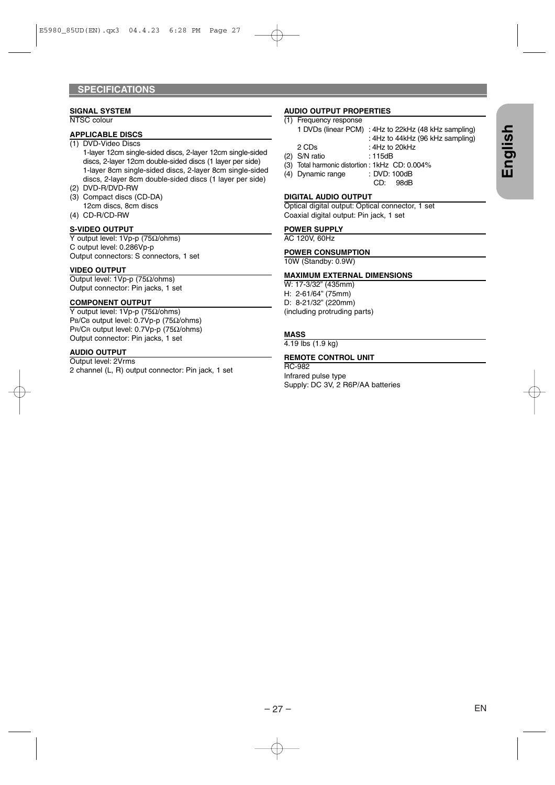#### **SIGNAL SYSTEM**

NTSC colour

#### **APPLICABLE DISCS** (1) DVD-Video Discs

1-layer 12cm single-sided discs, 2-layer 12cm single-sided discs, 2-layer 12cm double-sided discs (1 layer per side) 1-layer 8cm single-sided discs, 2-layer 8cm single-sided discs, 2-layer 8cm double-sided discs (1 layer per side)

- (2) DVD-R/DVD-RW
- (3) Compact discs (CD-DA) 12cm discs, 8cm discs
- (4) CD-R/CD-RW

#### **S-VIDEO OUTPUT**

Y output level: 1Vp-p (75Ω/ohms) C output level: 0.286Vp-p Output connectors: S connectors, 1 set

#### **VIDEO OUTPUT**

Output level: 1Vp-p (75Ω/ohms) Output connector: Pin jacks, 1 set

#### **COMPONENT OUTPUT**

Y output level: 1Vp-p (75Ω/ohms) PB/CB output level: 0.7Vp-p (75Ω/ohms) PR/CR output level: 0.7Vp-p (75Ω/ohms) Output connector: Pin jacks, 1 set

#### **AUDIO OUTPUT**

Output level: 2Vrms 2 channel (L, R) output connector: Pin jack, 1 set

#### **AUDIO OUTPUT PROPERTIES**

#### (1) Frequency response

|                                                 | 1 DVDs (linear PCM) : 4Hz to 22kHz (48 kHz sampling) |
|-------------------------------------------------|------------------------------------------------------|
|                                                 | : 4Hz to 44kHz (96 kHz sampling)                     |
| 2 CDs                                           | : $4Hz$ to $20kHz$                                   |
| (2) S/N ratio                                   | : 115dB                                              |
| (3) Total harmonic distortion : 1kHz CD: 0.004% |                                                      |
| (4) Dynamic range                               | : DVD: 100dB                                         |
|                                                 | 98dB<br>CD:                                          |

#### **DIGITAL AUDIO OUTPUT**

Optical digital output: Optical connector, 1 set Coaxial digital output: Pin jack, 1 set

#### **POWER SUPPLY**

AC 120V, 60Hz

#### **POWER CONSUMPTION**

10W (Standby: 0.9W)

#### **MAXIMUM EXTERNAL DIMENSIONS**

W: 17-3/32" (435mm) H: 2-61/64" (75mm) D: 8-21/32" (220mm) (including protruding parts)

#### **MASS**

4.19 lbs (1.9 kg)

#### **REMOTE CONTROL UNIT**

RC-982 Infrared pulse type Supply: DC 3V, 2 R6P/AA batteries